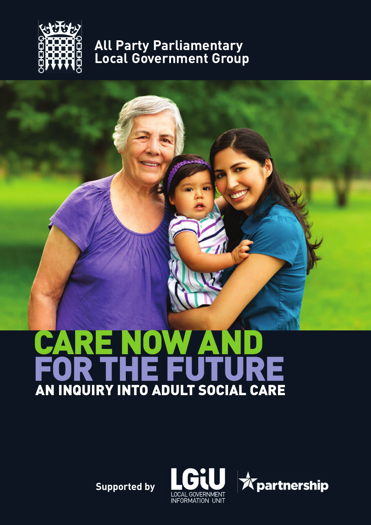

#### **All Party Parliamentary Local Government Group**

# **CARE NOW AND FOR THE FUTURE AN INQUIRY INTO ADULT SOCIAL CARE**

**Supported by**



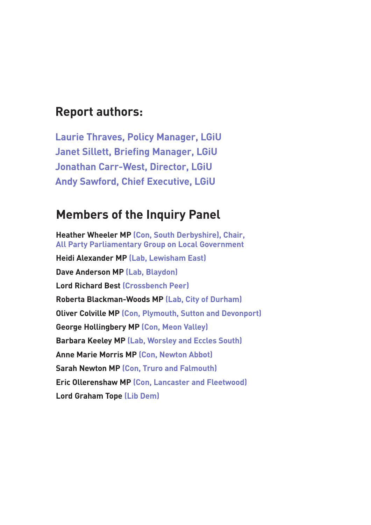#### **Report authors:**

**Laurie Thraves, Policy Manager, LGiU Janet Sillett, Briefing Manager, LGiU Jonathan Carr-West, Director, LGiU Andy Sawford, Chief Executive, LGiU**

#### **Members of the Inquiry Panel**

**Heather Wheeler MP (Con, South Derbyshire), Chair, All Party Parliamentary Group on Local Government Heidi Alexander MP (Lab, Lewisham East) Dave Anderson MP (Lab, Blaydon) Lord Richard Best (Crossbench Peer) Roberta Blackman-Woods MP (Lab, City of Durham) Oliver Colville MP (Con, Plymouth, Sutton and Devonport) George Hollingbery MP (Con, Meon Valley) Barbara Keeley MP (Lab, Worsley and Eccles South) Anne Marie Morris MP (Con, Newton Abbot) Sarah Newton MP (Con, Truro and Falmouth) Eric Ollerenshaw MP (Con, Lancaster and Fleetwood) Lord Graham Tope (Lib Dem)**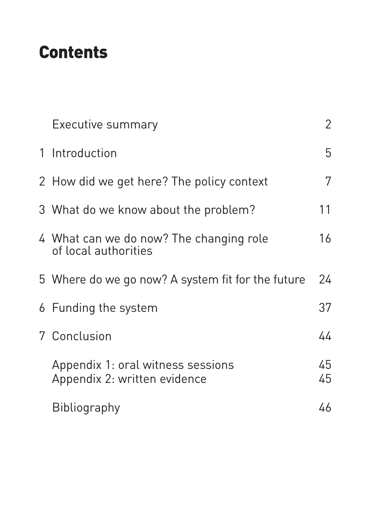# **Contents**

| <b>Executive summary</b>                                          | $\overline{2}$ |
|-------------------------------------------------------------------|----------------|
| 1 Introduction                                                    | 5              |
| 2 How did we get here? The policy context                         | 7              |
| 3 What do we know about the problem?                              | 11             |
| 4 What can we do now? The changing role<br>of local authorities   | 16             |
| 5 Where do we go now? A system fit for the future                 | 24             |
| 6 Funding the system                                              | 37             |
| 7 Conclusion                                                      | 44             |
| Appendix 1: oral witness sessions<br>Appendix 2: written evidence | 45<br>45       |
| Bibliography                                                      | 46             |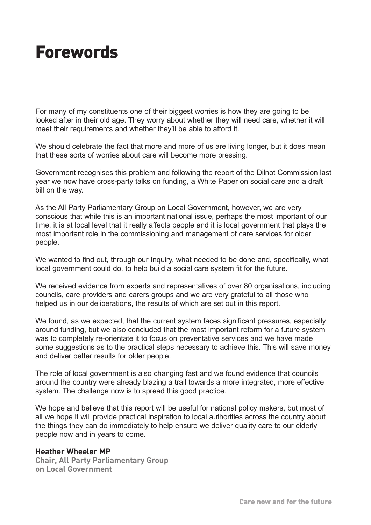# **Forewords**

For many of my constituents one of their biggest worries is how they are going to be looked after in their old age. They worry about whether they will need care, whether it will meet their requirements and whether they'll be able to afford it.

We should celebrate the fact that more and more of us are living longer, but it does mean that these sorts of worries about care will become more pressing.

Government recognises this problem and following the report of the Dilnot Commission last year we now have cross-party talks on funding, a White Paper on social care and a draft bill on the way.

As the All Party Parliamentary Group on Local Government, however, we are very conscious that while this is an important national issue, perhaps the most important of our time, it is at local level that it really affects people and it is local government that plays the most important role in the commissioning and management of care services for older people.

We wanted to find out, through our Inquiry, what needed to be done and, specifically, what local government could do, to help build a social care system fit for the future.

We received evidence from experts and representatives of over 80 organisations, including councils, care providers and carers groups and we are very grateful to all those who helped us in our deliberations, the results of which are set out in this report.

We found, as we expected, that the current system faces significant pressures, especially around funding, but we also concluded that the most important reform for a future system was to completely re-orientate it to focus on preventative services and we have made some suggestions as to the practical steps necessary to achieve this. This will save money and deliver better results for older people.

The role of local government is also changing fast and we found evidence that councils around the country were already blazing a trail towards a more integrated, more effective system. The challenge now is to spread this good practice.

We hope and believe that this report will be useful for national policy makers, but most of all we hope it will provide practical inspiration to local authorities across the country about the things they can do immediately to help ensure we deliver quality care to our elderly people now and in years to come.

#### **Heather Wheeler MP**

**Chair, All Party Parliamentary Group on Local Government**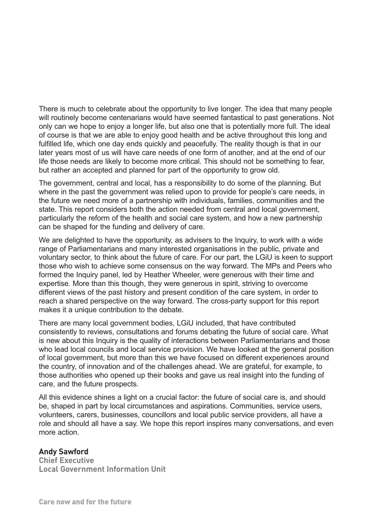There is much to celebrate about the opportunity to live longer. The idea that many people will routinely become centenarians would have seemed fantastical to past generations. Not only can we hope to enjoy a longer life, but also one that is potentially more full. The ideal of course is that we are able to enjoy good health and be active throughout this long and fulfilled life, which one day ends quickly and peacefully. The reality though is that in our later years most of us will have care needs of one form of another, and at the end of our life those needs are likely to become more critical. This should not be something to fear, but rather an accepted and planned for part of the opportunity to grow old.

The government, central and local, has a responsibility to do some of the planning. But where in the past the government was relied upon to provide for people's care needs, in the future we need more of a partnership with individuals, families, communities and the state. This report considers both the action needed from central and local government, particularly the reform of the health and social care system, and how a new partnership can be shaped for the funding and delivery of care.

We are delighted to have the opportunity, as advisers to the Inquiry, to work with a wide range of Parliamentarians and many interested organisations in the public, private and voluntary sector, to think about the future of care. For our part, the LGiU is keen to support those who wish to achieve some consensus on the way forward. The MPs and Peers who formed the Inquiry panel, led by Heather Wheeler, were generous with their time and expertise. More than this though, they were generous in spirit, striving to overcome different views of the past history and present condition of the care system, in order to reach a shared perspective on the way forward. The cross-party support for this report makes it a unique contribution to the debate.

There are many local government bodies, LGiU included, that have contributed consistently to reviews, consultations and forums debating the future of social care. What is new about this Inquiry is the quality of interactions between Parliamentarians and those who lead local councils and local service provision. We have looked at the general position of local government, but more than this we have focused on different experiences around the country, of innovation and of the challenges ahead. We are grateful, for example, to those authorities who opened up their books and gave us real insight into the funding of care, and the future prospects.

All this evidence shines a light on a crucial factor: the future of social care is, and should be, shaped in part by local circumstances and aspirations. Communities, service users, volunteers, carers, businesses, councillors and local public service providers, all have a role and should all have a say. We hope this report inspires many conversations, and even more action.

#### **Andy Sawford**

**Chief Executive Local Government Information Unit**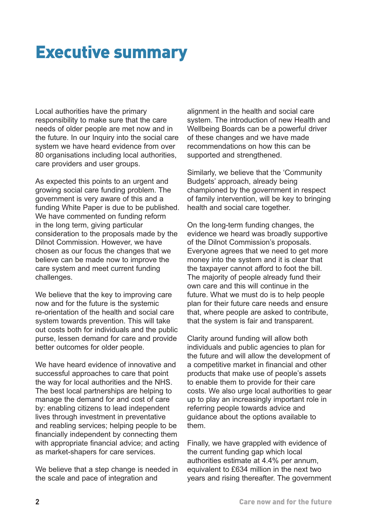# **Executive summary**

Local authorities have the primary responsibility to make sure that the care needs of older people are met now and in the future. In our Inquiry into the social care system we have heard evidence from over 80 organisations including local authorities. care providers and user groups.

As expected this points to an urgent and growing social care funding problem. The government is very aware of this and a funding White Paper is due to be published. We have commented on funding reform in the long term, giving particular consideration to the proposals made by the Dilnot Commission. However, we have chosen as our focus the changes that we believe can be made now to improve the care system and meet current funding challenges.

We believe that the key to improving care now and for the future is the systemic re-orientation of the health and social care system towards prevention. This will take out costs both for individuals and the public purse, lessen demand for care and provide better outcomes for older people.

We have heard evidence of innovative and successful approaches to care that point the way for local authorities and the NHS. The best local partnerships are helping to manage the demand for and cost of care by: enabling citizens to lead independent lives through investment in preventative and reabling services; helping people to be financially independent by connecting them with appropriate financial advice; and acting as market-shapers for care services.

We believe that a step change is needed in the scale and pace of integration and

alignment in the health and social care system. The introduction of new Health and Wellbeing Boards can be a powerful driver of these changes and we have made recommendations on how this can be supported and strengthened.

Similarly, we believe that the 'Community Budgets' approach, already being championed by the government in respect of family intervention, will be key to bringing health and social care together.

On the long-term funding changes, the evidence we heard was broadly supportive of the Dilnot Commission's proposals. Everyone agrees that we need to get more money into the system and it is clear that the taxpayer cannot afford to foot the bill. The majority of people already fund their own care and this will continue in the future. What we must do is to help people plan for their future care needs and ensure that, where people are asked to contribute, that the system is fair and transparent.

Clarity around funding will allow both individuals and public agencies to plan for the future and will allow the development of a competitive market in financial and other products that make use of people's assets to enable them to provide for their care costs. We also urge local authorities to gear up to play an increasingly important role in referring people towards advice and guidance about the options available to them.

Finally, we have grappled with evidence of the current funding gap which local authorities estimate at 4.4% per annum, equivalent to £634 million in the next two years and rising thereafter. The government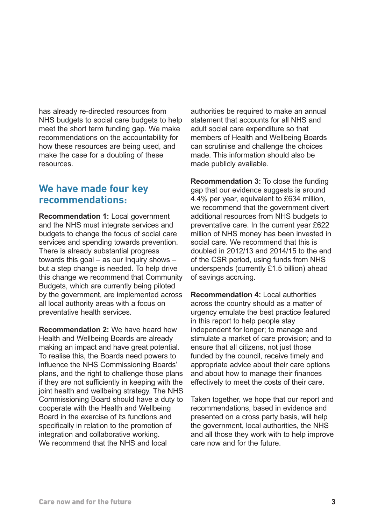has already re-directed resources from NHS budgets to social care budgets to help meet the short term funding gap. We make recommendations on the accountability for how these resources are being used, and make the case for a doubling of these resources.

#### **We have made four key recommendations:**

**Recommendation 1:** Local government and the NHS must integrate services and budgets to change the focus of social care services and spending towards prevention. There is already substantial progress towards this goal – as our Inquiry shows – but a step change is needed. To help drive this change we recommend that Community Budgets, which are currently being piloted by the government, are implemented across all local authority areas with a focus on preventative health services.

**Recommendation 2:** We have heard how Health and Wellbeing Boards are already making an impact and have great potential. To realise this, the Boards need powers to influence the NHS Commissioning Boards' plans, and the right to challenge those plans if they are not sufficiently in keeping with the joint health and wellbeing strategy. The NHS Commissioning Board should have a duty to cooperate with the Health and Wellbeing Board in the exercise of its functions and specifically in relation to the promotion of integration and collaborative working. We recommend that the NHS and local

authorities be required to make an annual statement that accounts for all NHS and adult social care expenditure so that members of Health and Wellbeing Boards can scrutinise and challenge the choices made. This information should also be made publicly available.

**Recommendation 3:** To close the funding gap that our evidence suggests is around 4.4% per year, equivalent to £634 million, we recommend that the government divert additional resources from NHS budgets to preventative care. In the current year £622 million of NHS money has been invested in social care. We recommend that this is doubled in 2012/13 and 2014/15 to the end of the CSR period, using funds from NHS underspends (currently £1.5 billion) ahead of savings accruing.

**Recommendation 4:** Local authorities across the country should as a matter of urgency emulate the best practice featured in this report to help people stay independent for longer; to manage and stimulate a market of care provision; and to ensure that all citizens, not just those funded by the council, receive timely and appropriate advice about their care options and about how to manage their finances effectively to meet the costs of their care.

Taken together, we hope that our report and recommendations, based in evidence and presented on a cross party basis, will help the government, local authorities, the NHS and all those they work with to help improve care now and for the future.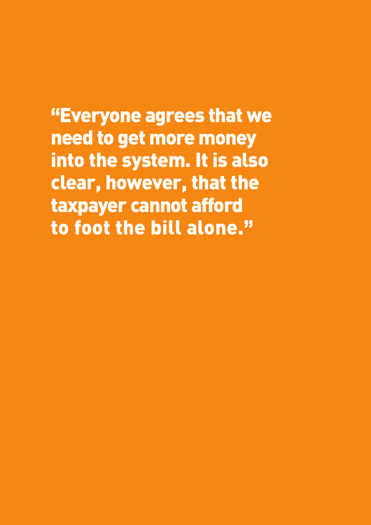**"Everyone agrees that we need to get more money into the system. It is also clear, however, that the taxpayer cannot afford to foot the bill alone."**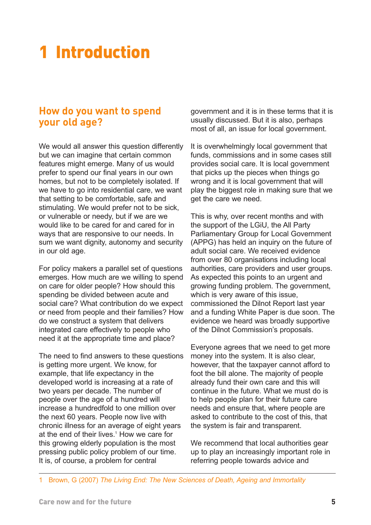# **1 Introduction**

#### **How do you want to spend your old age?**

We would all answer this question differently but we can imagine that certain common features might emerge. Many of us would prefer to spend our final years in our own homes, but not to be completely isolated. If we have to go into residential care, we want that setting to be comfortable, safe and stimulating. We would prefer not to be sick, or vulnerable or needy, but if we are we would like to be cared for and cared for in ways that are responsive to our needs. In sum we want dignity, autonomy and security in our old age.

For policy makers a parallel set of questions emerges. How much are we willing to spend on care for older people? How should this spending be divided between acute and social care? What contribution do we expect or need from people and their families? How do we construct a system that delivers integrated care effectively to people who need it at the appropriate time and place?

The need to find answers to these questions is getting more urgent. We know, for example, that life expectancy in the developed world is increasing at a rate of two years per decade. The number of people over the age of a hundred will increase a hundredfold to one million over the next 60 years. People now live with chronic illness for an average of eight years at the end of their lives.<sup>1</sup> How we care for this growing elderly population is the most pressing public policy problem of our time. It is, of course, a problem for central

<span id="page-8-0"></span>government and it is in these terms that it is usually discussed. But it is also, perhaps most of all, an issue for local government.

It is overwhelmingly local government that funds, commissions and in some cases still provides social care. It is local government that picks up the pieces when things go wrong and it is local government that will play the biggest role in making sure that we get the care we need.

This is why, over recent months and with the support of the LGiU, the All Party Parliamentary Group for Local Government (APPG) has held an inquiry on the future of adult social care. We received evidence from over 80 organisations including local authorities, care providers and user groups. As expected this points to an urgent and growing funding problem. The government, which is very aware of this issue, commissioned the Dilnot Report last year and a funding White Paper is due soon. The evidence we heard was broadly supportive of the Dilnot Commission's proposals.

Everyone agrees that we need to get more money into the system. It is also clear, however, that the taxpayer cannot afford to foot the bill alone. The majority of people already fund their own care and this will continue in the future. What we must do is to help people plan for their future care needs and ensure that, where people are asked to contribute to the cost of this, that the system is fair and transparent.

We recommend that local authorities gear up to play an increasingly important role in referring people towards advice and

1 Brown, G (2007) *The Living End: The New Sciences of Death, Ageing and Immortality*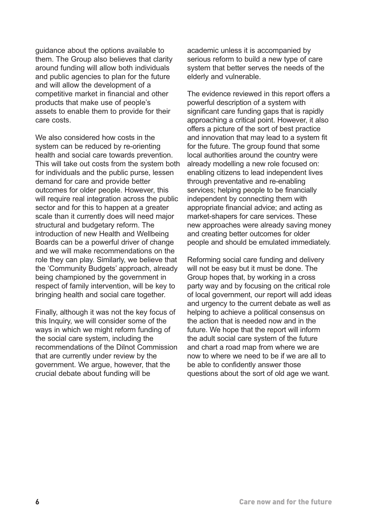guidance about the options available to them. The Group also believes that clarity around funding will allow both individuals and public agencies to plan for the future and will allow the development of a competitive market in financial and other products that make use of people's assets to enable them to provide for their care costs.

We also considered how costs in the system can be reduced by re-orienting health and social care towards prevention. This will take out costs from the system both for individuals and the public purse, lessen demand for care and provide better outcomes for older people. However, this will require real integration across the public sector and for this to happen at a greater scale than it currently does will need major structural and budgetary reform. The introduction of new Health and Wellbeing Boards can be a powerful driver of change and we will make recommendations on the role they can play. Similarly, we believe that the 'Community Budgets' approach, already being championed by the government in respect of family intervention, will be key to bringing health and social care together.

Finally, although it was not the key focus of this Inquiry, we will consider some of the ways in which we might reform funding of the social care system, including the recommendations of the Dilnot Commission that are currently under review by the government. We argue, however, that the crucial debate about funding will be

academic unless it is accompanied by serious reform to build a new type of care system that better serves the needs of the elderly and vulnerable.

The evidence reviewed in this report offers a powerful description of a system with significant care funding gaps that is rapidly approaching a critical point. However, it also offers a picture of the sort of best practice and innovation that may lead to a system fit for the future. The group found that some local authorities around the country were already modelling a new role focused on: enabling citizens to lead independent lives through preventative and re-enabling services; helping people to be financially independent by connecting them with appropriate financial advice; and acting as market-shapers for care services. These new approaches were already saving money and creating better outcomes for older people and should be emulated immediately.

Reforming social care funding and delivery will not be easy but it must be done. The Group hopes that, by working in a cross party way and by focusing on the critical role of local government, our report will add ideas and urgency to the current debate as well as helping to achieve a political consensus on the action that is needed now and in the future. We hope that the report will inform the adult social care system of the future and chart a road map from where we are now to where we need to be if we are all to be able to confidently answer those questions about the sort of old age we want.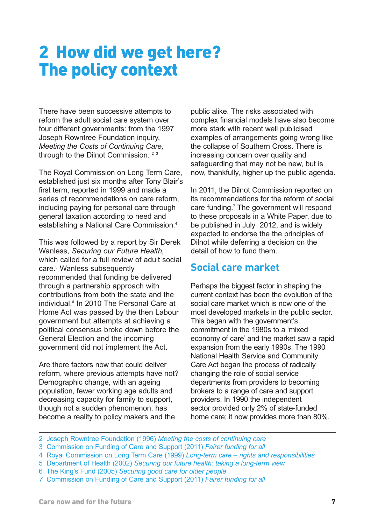# **2 How did we get here? The policy context**

There have been successive attempts to reform the adult social care system over four different governments: from the 1997 Joseph Rowntree Foundation inquiry, *Meeting the Costs of Continuing Care,* through to the Dilnot Commission.<sup>23</sup>

The Royal Commission on Long Term Care, established just six months after Tony Blair's first term, reported in 1999 and made a series of recommendations on care reform, including paying for personal care through general taxation according to need and establishing a National Care Commission.4

This was followed by a report by Sir Derek Wanless, *Securing our Future Health,* which called for a full review of adult social care.5 Wanless subsequently recommended that funding be delivered through a partnership approach with contributions from both the state and the individual.<sup>6</sup> In 2010 The Personal Care at Home Act was passed by the then Labour government but attempts at achieving a political consensus broke down before the General Election and the incoming government did not implement the Act.

Are there factors now that could deliver reform, where previous attempts have not? Demographic change, with an ageing population, fewer working age adults and decreasing capacity for family to support, though not a sudden phenomenon, has become a reality to policy makers and the

<span id="page-10-0"></span>public alike. The risks associated with complex financial models have also become more stark with recent well publicised examples of arrangements going wrong like the collapse of Southern Cross. There is increasing concern over quality and safeguarding that may not be new, but is now, thankfully, higher up the public agenda.

In 2011, the Dilnot Commission reported on its recommendations for the reform of social care funding.<sup>7</sup> The government will respond to these proposals in a White Paper, due to be published in July 2012, and is widely expected to endorse the the principles of Dilnot while deferring a decision on the detail of how to fund them.

#### **Social care market**

Perhaps the biggest factor in shaping the current context has been the evolution of the social care market which is now one of the most developed markets in the public sector. This began with the government's commitment in the 1980s to a 'mixed economy of care' and the market saw a rapid expansion from the early 1990s. The 1990 National Health Service and Community Care Act began the process of radically changing the role of social service departments from providers to becoming brokers to a range of care and support providers. In 1990 the independent sector provided only 2% of state-funded home care; it now provides more than 80%.

- 2 Joseph Rowntree Foundation (1996) *Meeting the costs of continuing care*
- 3 Commission on Funding of Care and Support (2011) *Fairer funding for all*
- 4 Royal Commission on Long Term Care (1999) *Long-term care rights and responsibilities*
- 5 Department of Health (2002) *Securing our future health: taking a long-term view*
- 6 The King's Fund (2005) *Securing good care for older people*
- *7* Commission on Funding of Care and Support (2011) *Fairer funding for all*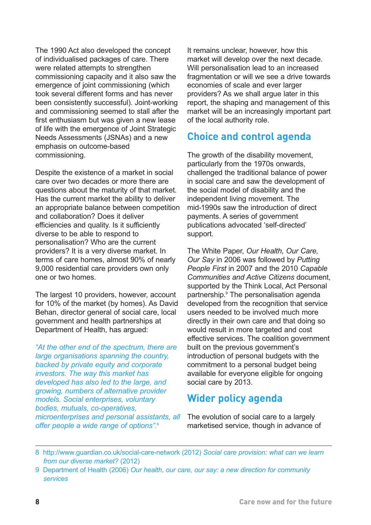The 1990 Act also developed the concept of individualised packages of care. There were related attempts to strengthen commissioning capacity and it also saw the emergence of joint commissioning (which took several different forms and has never been consistently successful). Joint-working and commissioning seemed to stall after the first enthusiasm but was given a new lease of life with the emergence of Joint Strategic Needs Assessments (JSNAs) and a new emphasis on outcome-based commissioning.

Despite the existence of a market in social care over two decades or more there are questions about the maturity of that market. Has the current market the ability to deliver an appropriate balance between competition and collaboration? Does it deliver efficiencies and quality. Is it sufficiently diverse to be able to respond to personalisation? Who are the current providers? It is a very diverse market. In terms of care homes, almost 90% of nearly 9,000 residential care providers own only one or two homes.

The largest 10 providers, however, account for 10% of the market (by homes). As David Behan, director general of social care, local government and health partnerships at Department of Health, has argued:

*"At the other end of the spectrum, there are large organisations spanning the country, backed by private equity and corporate investors. The way this market has developed has also led to the large, and growing, numbers of alternative provider models. Social enterprises, voluntary bodies, mutuals, co-operatives, microenterprises and personal assistants, all offer people a wide range of options".*<sup>8</sup>

It remains unclear, however, how this market will develop over the next decade. Will personalisation lead to an increased fragmentation or will we see a drive towards economies of scale and ever larger providers? As we shall argue later in this report, the shaping and management of this market will be an increasingly important part of the local authority role.

#### **Choice and control agenda**

The growth of the disability movement. particularly from the 1970s onwards, challenged the traditional balance of power in social care and saw the development of the social model of disability and the independent living movement. The mid-1990s saw the introduction of direct payments. A series of government publications advocated 'self-directed' support.

The White Paper, *Our Health, Our Care, Our Say* in 2006 was followed by *Putting People First* in 2007 and the 2010 *Capable Communities and Active Citizens* document, supported by the Think Local, Act Personal partnership.9 The personalisation agenda developed from the recognition that service users needed to be involved much more directly in their own care and that doing so would result in more targeted and cost effective services. The coalition government built on the previous government's introduction of personal budgets with the commitment to a personal budget being available for everyone eligible for ongoing social care by 2013.

#### **Wider policy agenda**

The evolution of social care to a largely marketised service, though in advance of

<sup>8</sup> [http://www.guardian.co.uk/social-care-network \(2012\)](http://www.guardian.co.uk/social-care-network) *Social care provision: what can we learn from our diverse market?* (2012)

<sup>9</sup> Department of Health (2006) *Our health, our care, our say: a new direction for community services*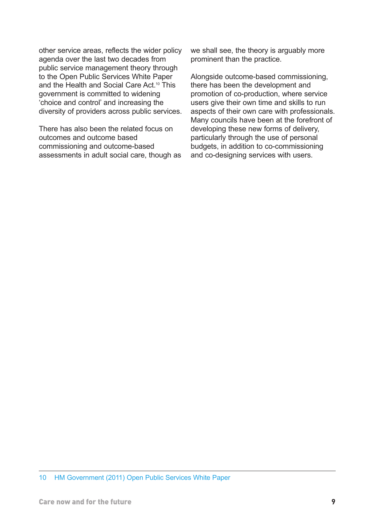other service areas, reflects the wider policy agenda over the last two decades from public service management theory through to the Open Public Services White Paper and the Health and Social Care Act.<sup>10</sup> This government is committed to widening 'choice and control' and increasing the diversity of providers across public services.

There has also been the related focus on outcomes and outcome based commissioning and outcome-based assessments in adult social care, though as we shall see, the theory is arguably more prominent than the practice.

Alongside outcome-based commissioning, there has been the development and promotion of co-production, where service users give their own time and skills to run aspects of their own care with professionals. Many councils have been at the forefront of developing these new forms of delivery, particularly through the use of personal budgets, in addition to co-commissioning and co-designing services with users.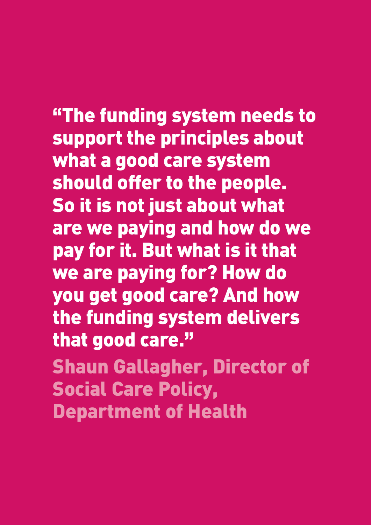**"The funding system needs to support the principles about what a good care system should offer to the people. So it is not just about what are we paying and how do we pay for it. But what is it that we are paying for? How do you get good care? And how the funding system delivers that good care."**

**Shaun Gallagher, Director of Social Care Policy, Department of Health**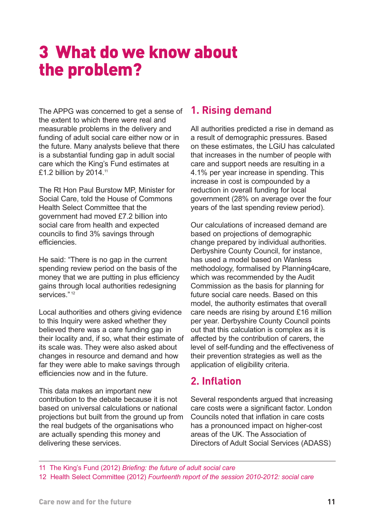# **3 What do we know about the problem?**

The APPG was concerned to get a sense of the extent to which there were real and measurable problems in the delivery and funding of adult social care either now or in the future. Many analysts believe that there is a substantial funding gap in adult social care which the King's Fund estimates at £1.2 billion by 2014.11

The Rt Hon Paul Burstow MP, Minister for Social Care, told the House of Commons Health Select Committee that the government had moved £7.2 billion into social care from health and expected councils to find 3% savings through efficiencies.

He said: "There is no gap in the current spending review period on the basis of the money that we are putting in plus efficiency gains through local authorities redesigning services."<sup>12</sup>

Local authorities and others giving evidence to this Inquiry were asked whether they believed there was a care funding gap in their locality and, if so, what their estimate of its scale was. They were also asked about changes in resource and demand and how far they were able to make savings through efficiencies now and in the future.

This data makes an important new contribution to the debate because it is not based on universal calculations or national projections but built from the ground up from the real budgets of the organisations who are actually spending this money and delivering these services.

#### <span id="page-14-0"></span>**1. Rising demand**

All authorities predicted a rise in demand as a result of demographic pressures. Based on these estimates, the LGiU has calculated that increases in the number of people with care and support needs are resulting in a 4.1% per year increase in spending. This increase in cost is compounded by a reduction in overall funding for local government (28% on average over the four years of the last spending review period).

Our calculations of increased demand are based on projections of demographic change prepared by individual authorities. Derbyshire County Council, for instance, has used a model based on Wanless methodology, formalised by Planning4care, which was recommended by the Audit Commission as the basis for planning for future social care needs. Based on this model, the authority estimates that overall care needs are rising by around £16 million per year. Derbyshire County Council points out that this calculation is complex as it is affected by the contribution of carers, the level of self-funding and the effectiveness of their prevention strategies as well as the application of eligibility criteria.

#### **2. Inflation**

Several respondents argued that increasing care costs were a significant factor. London Councils noted that inflation in care costs has a pronounced impact on higher-cost areas of the UK. The Association of Directors of Adult Social Services (ADASS)

11 The King's Fund (2012) *Briefing: the future of adult social care*

<sup>12</sup> Health Select Committee (2012) *Fourteenth report of the session 2010-2012: social care*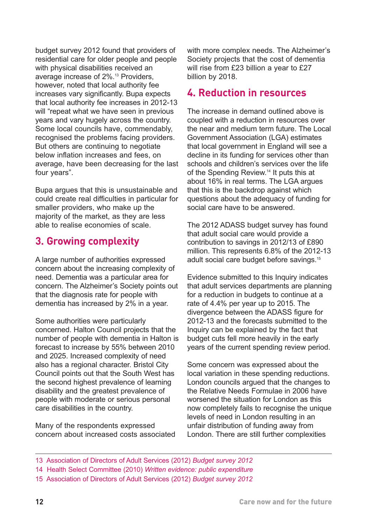budget survey 2012 found that providers of residential care for older people and people with physical disabilities received an average increase of 2%.13 Providers, however, noted that local authority fee increases vary significantly. Bupa expects that local authority fee increases in 2012-13 will "repeat what we have seen in previous years and vary hugely across the country. Some local councils have, commendably, recognised the problems facing providers. But others are continuing to negotiate below inflation increases and fees, on average, have been decreasing for the last four years".

Bupa argues that this is unsustainable and could create real difficulties in particular for smaller providers, who make up the majority of the market, as they are less able to realise economies of scale.

#### **3. Growing complexity**

A large number of authorities expressed concern about the increasing complexity of need. Dementia was a particular area for concern. The Alzheimer's Society points out that the diagnosis rate for people with dementia has increased by 2% in a year.

Some authorities were particularly concerned. Halton Council projects that the number of people with dementia in Halton is forecast to increase by 55% between 2010 and 2025. Increased complexity of need also has a regional character. Bristol City Council points out that the South West has the second highest prevalence of learning disability and the greatest prevalence of people with moderate or serious personal care disabilities in the country.

Many of the respondents expressed concern about increased costs associated with more complex needs. The Alzheimer's Society projects that the cost of dementia will rise from £23 billion a year to £27 billion by 2018.

#### **4. Reduction in resources**

The increase in demand outlined above is coupled with a reduction in resources over the near and medium term future. The Local Government Association (LGA) estimates that local government in England will see a decline in its funding for services other than schools and children's services over the life of the Spending Review.14 It puts this at about 16% in real terms. The LGA argues that this is the backdrop against which questions about the adequacy of funding for social care have to be answered.

The 2012 ADASS budget survey has found that adult social care would provide a contribution to savings in 2012/13 of £890 million. This represents 6.8% of the 2012-13 adult social care budget before savings.15

Evidence submitted to this Inquiry indicates that adult services departments are planning for a reduction in budgets to continue at a rate of 4.4% per year up to 2015. The divergence between the ADASS figure for 2012-13 and the forecasts submitted to the Inquiry can be explained by the fact that budget cuts fell more heavily in the early years of the current spending review period.

Some concern was expressed about the local variation in these spending reductions. London councils argued that the changes to the Relative Needs Formulae in 2006 have worsened the situation for London as this now completely fails to recognise the unique levels of need in London resulting in an unfair distribution of funding away from London. There are still further complexities

<sup>13</sup> Association of Directors of Adult Services (2012) *Budget survey 2012*

<sup>14</sup> Health Select Committee (2010) *Written evidence: public expenditure*

<sup>15</sup> Association of Directors of Adult Services (2012) *Budget survey 2012*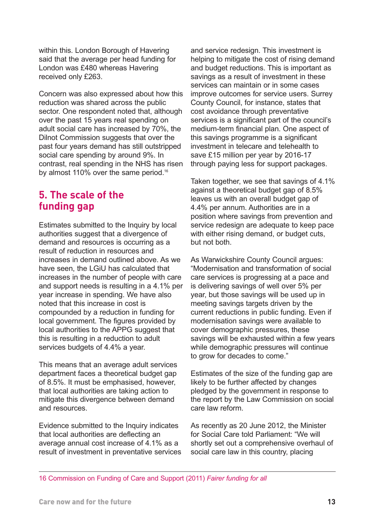within this. London Borough of Havering said that the average per head funding for London was £480 whereas Havering received only £263.

Concern was also expressed about how this reduction was shared across the public sector. One respondent noted that, although over the past 15 years real spending on adult social care has increased by 70%, the Dilnot Commission suggests that over the past four years demand has still outstripped social care spending by around 9%. In contrast, real spending in the NHS has risen by almost 110% over the same period.<sup>16</sup>

#### **5. The scale of the funding gap**

Estimates submitted to the Inquiry by local authorities suggest that a divergence of demand and resources is occurring as a result of reduction in resources and increases in demand outlined above. As we have seen, the LGiU has calculated that increases in the number of people with care and support needs is resulting in a 4.1% per year increase in spending. We have also noted that this increase in cost is compounded by a reduction in funding for local government. The figures provided by local authorities to the APPG suggest that this is resulting in a reduction to adult services budgets of 4.4% a year.

This means that an average adult services department faces a theoretical budget gap of 8.5%. It must be emphasised, however, that local authorities are taking action to mitigate this divergence between demand and resources.

Evidence submitted to the Inquiry indicates that local authorities are deflecting an average annual cost increase of 4.1% as a result of investment in preventative services

and service redesign. This investment is helping to mitigate the cost of rising demand and budget reductions. This is important as savings as a result of investment in these services can maintain or in some cases improve outcomes for service users. Surrey County Council, for instance, states that cost avoidance through preventative services is a significant part of the council's medium-term financial plan. One aspect of this savings programme is a significant investment in telecare and telehealth to save £15 million per year by 2016-17 through paying less for support packages.

Taken together, we see that savings of 4.1% against a theoretical budget gap of 8.5% leaves us with an overall budget gap of 4.4% per annum. Authorities are in a position where savings from prevention and service redesign are adequate to keep pace with either rising demand, or budget cuts, but not both.

As Warwickshire County Council argues: "Modernisation and transformation of social care services is progressing at a pace and is delivering savings of well over 5% per year, but those savings will be used up in meeting savings targets driven by the current reductions in public funding. Even if modernisation savings were available to cover demographic pressures, these savings will be exhausted within a few years while demographic pressures will continue to grow for decades to come."

Estimates of the size of the funding gap are likely to be further affected by changes pledged by the government in response to the report by the Law Commission on social care law reform.

As recently as 20 June 2012, the Minister for Social Care told Parliament: "We will shortly set out a comprehensive overhaul of social care law in this country, placing

16 Commission on Funding of Care and Support (2011) *Fairer funding for all*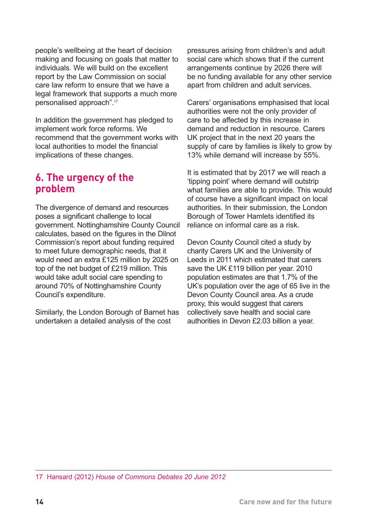people's wellbeing at the heart of decision making and focusing on goals that matter to individuals. We will build on the excellent report by the Law Commission on social care law reform to ensure that we have a legal framework that supports a much more personalised approach".17

In addition the government has pledged to implement work force reforms. We recommend that the government works with local authorities to model the financial implications of these changes.

#### **6. The urgency of the problem**

The divergence of demand and resources poses a significant challenge to local government. Nottinghamshire County Council calculates, based on the figures in the Dilnot Commission's report about funding required to meet future demographic needs, that it would need an extra £125 million by 2025 on top of the net budget of £219 million. This would take adult social care spending to around 70% of Nottinghamshire County Council's expenditure.

Similarly, the London Borough of Barnet has undertaken a detailed analysis of the cost

pressures arising from children's and adult social care which shows that if the current arrangements continue by 2026 there will be no funding available for any other service apart from children and adult services.

Carers' organisations emphasised that local authorities were not the only provider of care to be affected by this increase in demand and reduction in resource. Carers UK project that in the next 20 years the supply of care by families is likely to grow by 13% while demand will increase by 55%.

It is estimated that by 2017 we will reach a 'tipping point' where demand will outstrip what families are able to provide. This would of course have a significant impact on local authorities. In their submission, the London Borough of Tower Hamlets identified its reliance on informal care as a risk.

Devon County Council cited a study by charity Carers UK and the University of Leeds in 2011 which estimated that carers save the UK £119 billion per year. 2010 population estimates are that 1.7% of the UK's population over the age of 65 live in the Devon County Council area. As a crude proxy, this would suggest that carers collectively save health and social care authorities in Devon £2.03 billion a year.

17 Hansard (2012) *House of Commons Debates 20 June 2012*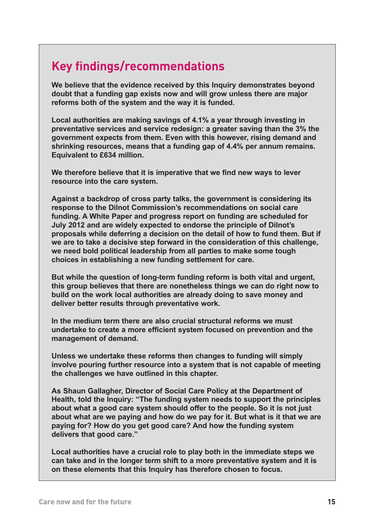## **Key findings/recommendations**

**We believe that the evidence received by this Inquiry demonstrates beyond doubt that a funding gap exists now and will grow unless there are major reforms both of the system and the way it is funded.** 

**Local authorities are making savings of 4.1% a year through investing in preventative services and service redesign: a greater saving than the 3% the government expects from them. Even with this however, rising demand and shrinking resources, means that a funding gap of 4.4% per annum remains. Equivalent to £634 million.**

**We therefore believe that it is imperative that we find new ways to lever resource into the care system.**

**Against a backdrop of cross party talks, the government is considering its response to the Dilnot Commission's recommendations on social care funding. A White Paper and progress report on funding are scheduled for July 2012 and are widely expected to endorse the principle of Dilnot's proposals while deferring a decision on the detail of how to fund them. But if we are to take a decisive step forward in the consideration of this challenge, we need bold political leadership from all parties to make some tough choices in establishing a new funding settlement for care.**

**But while the question of long-term funding reform is both vital and urgent, this group believes that there are nonetheless things we can do right now to build on the work local authorities are already doing to save money and deliver better results through preventative work.**

**In the medium term there are also crucial structural reforms we must undertake to create a more efficient system focused on prevention and the management of demand.**

**Unless we undertake these reforms then changes to funding will simply involve pouring further resource into a system that is not capable of meeting the challenges we have outlined in this chapter.**

**As Shaun Gallagher, Director of Social Care Policy at the Department of Health, told the Inquiry: "The funding system needs to support the principles about what a good care system should offer to the people. So it is not just about what are we paying and how do we pay for it. But what is it that we are paying for? How do you get good care? And how the funding system delivers that good care."**

**Local authorities have a crucial role to play both in the immediate steps we can take and in the longer term shift to a more preventative system and it is on these elements that this Inquiry has therefore chosen to focus.**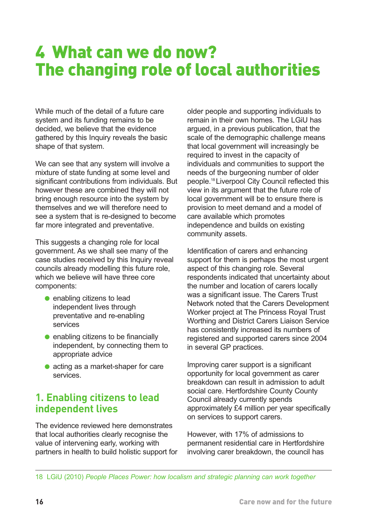# **4 What can we do now? The changing role of local authorities**

While much of the detail of a future care system and its funding remains to be decided, we believe that the evidence gathered by this Inquiry reveals the basic shape of that system.

We can see that any system will involve a mixture of state funding at some level and significant contributions from individuals. But however these are combined they will not bring enough resource into the system by themselves and we will therefore need to see a system that is re-designed to become far more integrated and preventative.

This suggests a changing role for local government. As we shall see many of the case studies received by this Inquiry reveal councils already modelling this future role, which we believe will have three core components:

- $\bullet$  enabling citizens to lead independent lives through preventative and re-enabling services
- $\bullet$  enabling citizens to be financially independent, by connecting them to appropriate advice
- $\bullet$  acting as a market-shaper for care services.

#### **1. Enabling citizens to lead independent lives**

The evidence reviewed here demonstrates that local authorities clearly recognise the value of intervening early, working with partners in health to build holistic support for

<span id="page-19-0"></span>older people and supporting individuals to remain in their own homes. The LGiU has argued, in a previous publication, that the scale of the demographic challenge means that local government will increasingly be required to invest in the capacity of individuals and communities to support the needs of the burgeoning number of older people.18 Liverpool City Council reflected this view in its argument that the future role of local government will be to ensure there is provision to meet demand and a model of care available which promotes independence and builds on existing community assets.

Identification of carers and enhancing support for them is perhaps the most urgent aspect of this changing role. Several respondents indicated that uncertainty about the number and location of carers locally was a significant issue. The Carers Trust Network noted that the Carers Development Worker project at The Princess Royal Trust Worthing and District Carers Liaison Service has consistently increased its numbers of registered and supported carers since 2004 in several GP practices.

Improving carer support is a significant opportunity for local government as carer breakdown can result in admission to adult social care. Hertfordshire County County Council already currently spends approximately £4 million per year specifically on services to support carers.

However, with 17% of admissions to permanent residential care in Hertfordshire involving carer breakdown, the council has

18 LGiU (2010) *People Places Power: how localism and strategic planning can work together*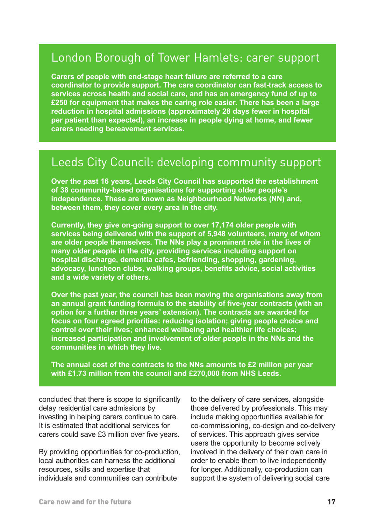#### London Borough of Tower Hamlets: carer support

**Carers of people with end-stage heart failure are referred to a care coordinator to provide support. The care coordinator can fast-track access to services across health and social care, and has an emergency fund of up to £250 for equipment that makes the caring role easier. There has been a large reduction in hospital admissions (approximately 28 days fewer in hospital per patient than expected), an increase in people dying at home, and fewer carers needing bereavement services.**

#### Leeds City Council: developing community support

**Over the past 16 years, Leeds City Council has supported the establishment of 38 community-based organisations for supporting older people's independence. These are known as Neighbourhood Networks (NN) and, between them, they cover every area in the city.** 

**Currently, they give on-going support to over 17,174 older people with services being delivered with the support of 5,948 volunteers, many of whom are older people themselves. The NNs play a prominent role in the lives of many older people in the city, providing services including support on hospital discharge, dementia cafes, befriending, shopping, gardening, advocacy, luncheon clubs, walking groups, benefits advice, social activities and a wide variety of others.** 

**Over the past year, the council has been moving the organisations away from an annual grant funding formula to the stability of five-year contracts (with an option for a further three years' extension). The contracts are awarded for focus on four agreed priorities: reducing isolation; giving people choice and control over their lives; enhanced wellbeing and healthier life choices; increased participation and involvement of older people in the NNs and the communities in which they live.** 

**The annual cost of the contracts to the NNs amounts to £2 million per year with £1.73 million from the council and £270,000 from NHS Leeds.** 

concluded that there is scope to significantly delay residential care admissions by investing in helping carers continue to care. It is estimated that additional services for carers could save £3 million over five years.

By providing opportunities for co-production, local authorities can harness the additional resources, skills and expertise that individuals and communities can contribute

to the delivery of care services, alongside those delivered by professionals. This may include making opportunities available for co-commissioning, co-design and co-delivery of services. This approach gives service users the opportunity to become actively involved in the delivery of their own care in order to enable them to live independently for longer. Additionally, co-production can support the system of delivering social care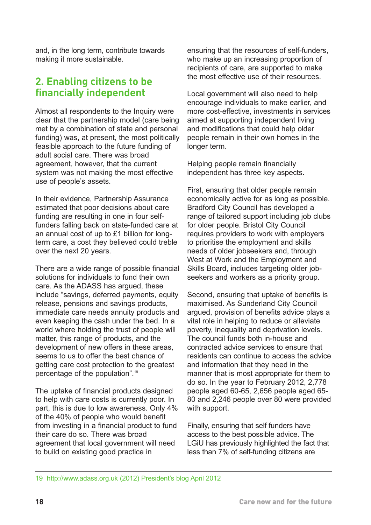and, in the long term, contribute towards making it more sustainable.

#### **2. Enabling citizens to be financially independent**

Almost all respondents to the Inquiry were clear that the partnership model (care being met by a combination of state and personal funding) was, at present, the most politically feasible approach to the future funding of adult social care. There was broad agreement, however, that the current system was not making the most effective use of people's assets.

In their evidence, Partnership Assurance estimated that poor decisions about care funding are resulting in one in four selffunders falling back on state-funded care at an annual cost of up to £1 billion for longterm care, a cost they believed could treble over the next 20 years.

There are a wide range of possible financial solutions for individuals to fund their own care. As the ADASS has argued, these include "savings, deferred payments, equity release, pensions and savings products, immediate care needs annuity products and even keeping the cash under the bed. In a world where holding the trust of people will matter, this range of products, and the development of new offers in these areas, seems to us to offer the best chance of getting care cost protection to the greatest percentage of the population".19

The uptake of financial products designed to help with care costs is currently poor. In part, this is due to low awareness. Only 4% of the 40% of people who would benefit from investing in a financial product to fund their care do so. There was broad agreement that local government will need to build on existing good practice in

ensuring that the resources of self-funders, who make up an increasing proportion of recipients of care, are supported to make the most effective use of their resources.

Local government will also need to help encourage individuals to make earlier, and more cost-effective, investments in services aimed at supporting independent living and modifications that could help older people remain in their own homes in the longer term.

Helping people remain financially independent has three key aspects.

First, ensuring that older people remain economically active for as long as possible. Bradford City Council has developed a range of tailored support including job clubs for older people. Bristol City Council requires providers to work with employers to prioritise the employment and skills needs of older jobseekers and, through West at Work and the Employment and Skills Board, includes targeting older jobseekers and workers as a priority group.

Second, ensuring that uptake of benefits is maximised. As Sunderland City Council argued, provision of benefits advice plays a vital role in helping to reduce or alleviate poverty, inequality and deprivation levels. The council funds both in-house and contracted advice services to ensure that residents can continue to access the advice and information that they need in the manner that is most appropriate for them to do so. In the year to February 2012, 2,778 people aged 60-65, 2,656 people aged 65- 80 and 2,246 people over 80 were provided with support.

Finally, ensuring that self funders have access to the best possible advice. The LGiU has previously highlighted the fact that less than 7% of self-funding citizens are

[<sup>19</sup> http://www.adass.org.uk \(2012\) President's blog April 2012](http://www.adass.org.uk/index.php?option=com_content&view=article&id=794:april-2012&catid=85:presidents-blog&Itemid=198)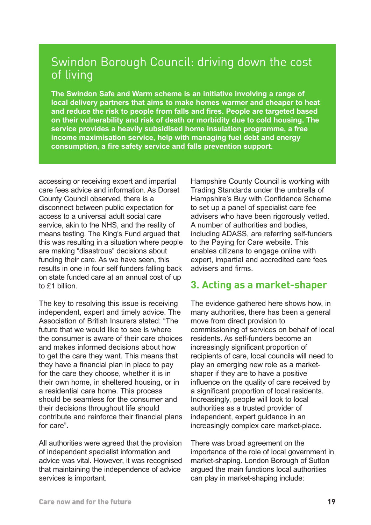#### Swindon Borough Council: driving down the cost of living

**The Swindon Safe and Warm scheme is an initiative involving a range of local delivery partners that aims to make homes warmer and cheaper to heat and reduce the risk to people from falls and fires. People are targeted based on their vulnerability and risk of death or morbidity due to cold housing. The service provides a heavily subsidised home insulation programme, a free income maximisation service, help with managing fuel debt and energy consumption, a fire safety service and falls prevention support.** 

accessing or receiving expert and impartial care fees advice and information. As Dorset County Council observed, there is a disconnect between public expectation for access to a universal adult social care service, akin to the NHS, and the reality of means testing. The King's Fund argued that this was resulting in a situation where people are making "disastrous" decisions about funding their care. As we have seen, this results in one in four self funders falling back on state funded care at an annual cost of up to £1 billion.

The key to resolving this issue is receiving independent, expert and timely advice. The Association of British Insurers stated: "The future that we would like to see is where the consumer is aware of their care choices and makes informed decisions about how to get the care they want. This means that they have a financial plan in place to pay for the care they choose, whether it is in their own home, in sheltered housing, or in a residential care home. This process should be seamless for the consumer and their decisions throughout life should contribute and reinforce their financial plans for care".

All authorities were agreed that the provision of independent specialist information and advice was vital. However, it was recognised that maintaining the independence of advice services is important.

Hampshire County Council is working with Trading Standards under the umbrella of Hampshire's Buy with Confidence Scheme to set up a panel of specialist care fee advisers who have been rigorously vetted. A number of authorities and bodies, including ADASS, are referring self-funders to the Paying for Care website. This enables citizens to engage online with expert, impartial and accredited care fees advisers and firms.

#### **3. Acting as a market-shaper**

The evidence gathered here shows how, in many authorities, there has been a general move from direct provision to commissioning of services on behalf of local residents. As self-funders become an increasingly significant proportion of recipients of care, local councils will need to play an emerging new role as a marketshaper if they are to have a positive influence on the quality of care received by a significant proportion of local residents. Increasingly, people will look to local authorities as a trusted provider of independent, expert guidance in an increasingly complex care market-place.

There was broad agreement on the importance of the role of local government in market-shaping. London Borough of Sutton argued the main functions local authorities can play in market-shaping include: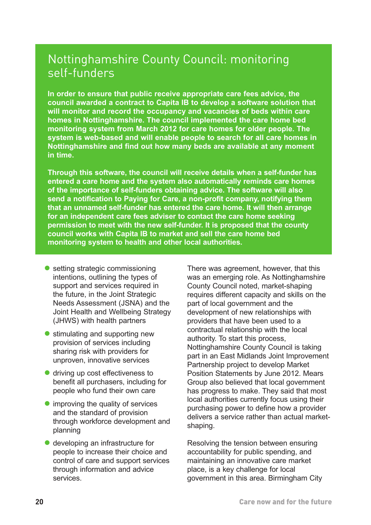#### Nottinghamshire County Council: monitoring self-funders

**In order to ensure that public receive appropriate care fees advice, the council awarded a contract to Capita IB to develop a software solution that will monitor and record the occupancy and vacancies of beds within care homes in Nottinghamshire. The council implemented the care home bed monitoring system from March 2012 for care homes for older people. The system is web-based and will enable people to search for all care homes in Nottinghamshire and find out how many beds are available at any moment in time.** 

**Through this software, the council will receive details when a self-funder has entered a care home and the system also automatically reminds care homes of the importance of self-funders obtaining advice. The software will also send a notification to Paying for Care, a non-profit company, notifying them that an unnamed self-funder has entered the care home. It will then arrange for an independent care fees adviser to contact the care home seeking permission to meet with the new self-funder. It is proposed that the county council works with Capita IB to market and sell the care home bed monitoring system to health and other local authorities.**

- $\bullet$  setting strategic commissioning intentions, outlining the types of support and services required in the future, in the Joint Strategic Needs Assessment (JSNA) and the Joint Health and Wellbeing Strategy (JHWS) with health partners
- stimulating and supporting new provision of services including sharing risk with providers for unproven, innovative services
- $\bullet$  driving up cost effectiveness to benefit all purchasers, including for people who fund their own care
- $\bullet$  improving the quality of services and the standard of provision through workforce development and planning
- $\bullet$  developing an infrastructure for people to increase their choice and control of care and support services through information and advice services.

There was agreement, however, that this was an emerging role. As Nottinghamshire County Council noted, market-shaping requires different capacity and skills on the part of local government and the development of new relationships with providers that have been used to a contractual relationship with the local authority. To start this process, Nottinghamshire County Council is taking part in an East Midlands Joint Improvement Partnership project to develop Market Position Statements by June 2012. Mears Group also believed that local government has progress to make. They said that most local authorities currently focus using their purchasing power to define how a provider delivers a service rather than actual marketshaping.

Resolving the tension between ensuring accountability for public spending, and maintaining an innovative care market place, is a key challenge for local government in this area. Birmingham City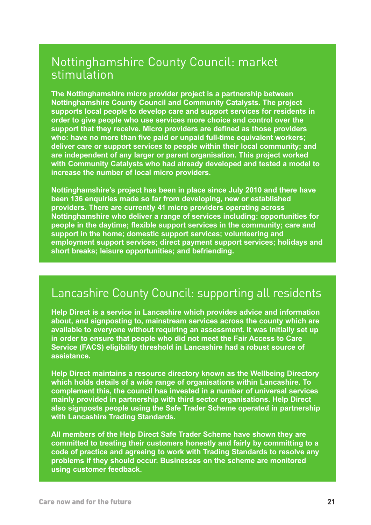#### Nottinghamshire County Council: market stimulation

**The Nottinghamshire micro provider project is a partnership between Nottinghamshire County Council and Community Catalysts. The project supports local people to develop care and support services for residents in order to give people who use services more choice and control over the support that they receive. Micro providers are defined as those providers who: have no more than five paid or unpaid full-time equivalent workers; deliver care or support services to people within their local community; and are independent of any larger or parent organisation. This project worked with Community Catalysts who had already developed and tested a model to increase the number of local micro providers.** 

**Nottinghamshire's project has been in place since July 2010 and there have been 136 enquiries made so far from developing, new or established providers. There are currently 41 micro providers operating across Nottinghamshire who deliver a range of services including: opportunities for people in the daytime; flexible support services in the community; care and support in the home; domestic support services; volunteering and employment support services; direct payment support services; holidays and short breaks; leisure opportunities; and befriending.**

#### Lancashire County Council: supporting all residents

**Help Direct is a service in Lancashire which provides advice and information about, and signposting to, mainstream services across the county which are available to everyone without requiring an assessment. It was initially set up in order to ensure that people who did not meet the Fair Access to Care Service (FACS) eligibility threshold in Lancashire had a robust source of assistance.** 

**Help Direct maintains a resource directory known as the Wellbeing Directory which holds details of a wide range of organisations within Lancashire. To complement this, the council has invested in a number of universal services mainly provided in partnership with third sector organisations. Help Direct also signposts people using the Safe Trader Scheme operated in partnership with Lancashire Trading Standards.** 

**All members of the Help Direct Safe Trader Scheme have shown they are committed to treating their customers honestly and fairly by committing to a code of practice and agreeing to work with Trading Standards to resolve any problems if they should occur. Businesses on the scheme are monitored using customer feedback.**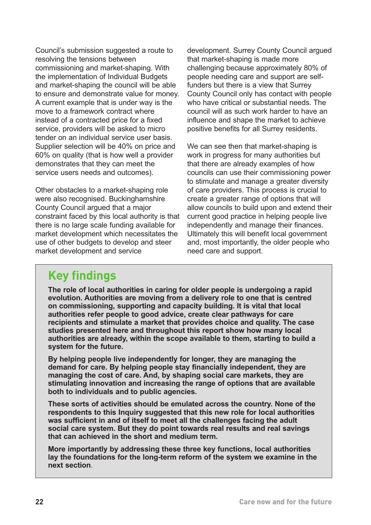Council's submission suggested a route to resolving the tensions between commissioning and market-shaping. With the implementation of Individual Budgets and market-shaping the council will be able to ensure and demonstrate value for money. A current example that is under way is the move to a framework contract where instead of a contracted price for a fixed service, providers will be asked to micro tender on an individual service user basis. Supplier selection will be 40% on price and 60% on quality (that is how well a provider demonstrates that they can meet the service users needs and outcomes).

Other obstacles to a market-shaping role were also recognised. Buckinghamshire County Council argued that a major constraint faced by this local authority is that there is no large scale funding available for market development which necessitates the use of other budgets to develop and steer market development and service

development. Surrey County Council argued that market-shaping is made more challenging because approximately 80% of people needing care and support are selffunders but there is a view that Surrey County Council only has contact with people who have critical or substantial needs. The council will as such work harder to have an influence and shape the market to achieve positive benefits for all Surrey residents.

We can see then that market-shaping is work in progress for many authorities but that there are already examples of how councils can use their commissioning power to stimulate and manage a greater diversity of care providers. This process is crucial to create a greater range of options that will allow councils to build upon and extend their current good practice in helping people live independently and manage their finances. Ultimately this will benefit local government and, most importantly, the older people who need care and support.

#### **Key findings**

**The role of local authorities in caring for older people is undergoing a rapid evolution. Authorities are moving from a delivery role to one that is centred on commissioning, supporting and capacity building. It is vital that local authorities refer people to good advice, create clear pathways for care recipients and stimulate a market that provides choice and quality. The case studies presented here and throughout this report show how many local authorities are already, within the scope available to them, starting to build a system for the future.**

**By helping people live independently for longer, they are managing the demand for care. By helping people stay financially independent, they are managing the cost of care. And, by shaping social care markets, they are stimulating innovation and increasing the range of options that are available both to individuals and to public agencies.**

**These sorts of activities should be emulated across the country. None of the respondents to this Inquiry suggested that this new role for local authorities was sufficient in and of itself to meet all the challenges facing the adult social care system. But they do point towards real results and real savings that can achieved in the short and medium term.** 

**More importantly by addressing these three key functions, local authorities lay the foundations for the long-term reform of the system we examine in the next section**.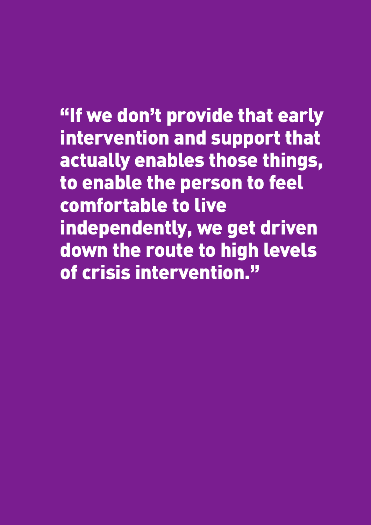**"If we don't provide that early intervention and support that actually enables those things, to enable the person to feel comfortable to live independently, we get driven down the route to high levels of crisis intervention."**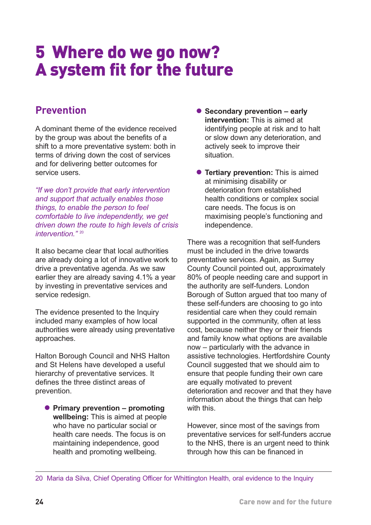# **5 Where do we go now? A system fit for the future**

#### **Prevention**

A dominant theme of the evidence received by the group was about the benefits of a shift to a more preventative system: both in terms of driving down the cost of services and for delivering better outcomes for service users.

*"If we don't provide that early intervention and support that actually enables those things, to enable the person to feel comfortable to live independently, we get driven down the route to high levels of crisis intervention."* <sup>20</sup>

It also became clear that local authorities are already doing a lot of innovative work to drive a preventative agenda. As we saw earlier they are already saving 4.1% a year by investing in preventative services and service redesign.

The evidence presented to the Inquiry included many examples of how local authorities were already using preventative approaches.

Halton Borough Council and NHS Halton and St Helens have developed a useful hierarchy of preventative services. It defines the three distinct areas of prevention.

**• Primary prevention – promoting wellbeing:** This is aimed at people who have no particular social or health care needs. The focus is on maintaining independence, good health and promoting wellbeing.

- <span id="page-27-0"></span>**• Secondary prevention – early intervention:** This is aimed at identifying people at risk and to halt or slow down any deterioration, and actively seek to improve their situation.
- **Tertiary prevention:** This is aimed at minimising disability or deterioration from established health conditions or complex social care needs. The focus is on maximising people's functioning and independence.

There was a recognition that self-funders must be included in the drive towards preventative services. Again, as Surrey County Council pointed out, approximately 80% of people needing care and support in the authority are self-funders. London Borough of Sutton argued that too many of these self-funders are choosing to go into residential care when they could remain supported in the community, often at less cost, because neither they or their friends and family know what options are available now – particularly with the advance in assistive technologies. Hertfordshire County Council suggested that we should aim to ensure that people funding their own care are equally motivated to prevent deterioration and recover and that they have information about the things that can help with this.

However, since most of the savings from preventative services for self-funders accrue to the NHS, there is an urgent need to think through how this can be financed in

<sup>20</sup> Maria da Silva, Chief Operating Officer for Whittington Health, oral evidence to the Inquiry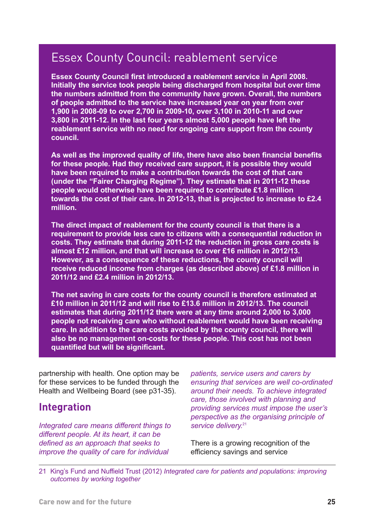#### Essex County Council: reablement service

**Essex County Council first introduced a reablement service in April 2008. Initially the service took people being discharged from hospital but over time the numbers admitted from the community have grown. Overall, the numbers of people admitted to the service have increased year on year from over 1,900 in 2008-09 to over 2,700 in 2009-10, over 3,100 in 2010-11 and over 3,800 in 2011-12. In the last four years almost 5,000 people have left the reablement service with no need for ongoing care support from the county council.** 

**As well as the improved quality of life, there have also been financial benefits for these people. Had they received care support, it is possible they would have been required to make a contribution towards the cost of that care (under the "Fairer Charging Regime"). They estimate that in 2011-12 these people would otherwise have been required to contribute £1.8 million towards the cost of their care. In 2012-13, that is projected to increase to £2.4 million.** 

**The direct impact of reablement for the county council is that there is a requirement to provide less care to citizens with a consequential reduction in costs. They estimate that during 2011-12 the reduction in gross care costs is almost £12 million, and that will increase to over £16 million in 2012/13. However, as a consequence of these reductions, the county council will receive reduced income from charges (as described above) of £1.8 million in 2011/12 and £2.4 million in 2012/13.** 

**The net saving in care costs for the county council is therefore estimated at £10 million in 2011/12 and will rise to £13.6 million in 2012/13. The council estimates that during 2011/12 there were at any time around 2,000 to 3,000 people not receiving care who without reablement would have been receiving care. In addition to the care costs avoided by the county council, there will also be no management on-costs for these people. This cost has not been quantified but will be significant.**

partnership with health. One option may be for these services to be funded through the Health and Wellbeing Board (see p31-35).

#### **Integration**

*Integrated care means different things to different people. At its heart, it can be defined as an approach that seeks to improve the quality of care for individual*

*patients, service users and carers by ensuring that services are well co-ordinated around their needs. To achieve integrated care, those involved with planning and providing services must impose the user's perspective as the organising principle of service delivery.*<sup>21</sup>

There is a growing recognition of the efficiency savings and service

21 King's Fund and Nuffield Trust (2012) *Integrated care for patients and populations: improving outcomes by working together*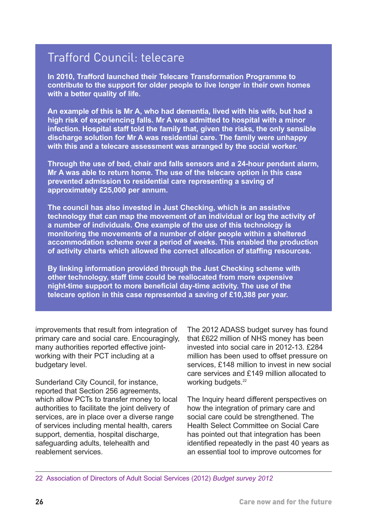## Trafford Council: telecare

**In 2010, Trafford launched their Telecare Transformation Programme to contribute to the support for older people to live longer in their own homes with a better quality of life.** 

**An example of this is Mr A, who had dementia, lived with his wife, but had a high risk of experiencing falls. Mr A was admitted to hospital with a minor infection. Hospital staff told the family that, given the risks, the only sensible discharge solution for Mr A was residential care. The family were unhappy with this and a telecare assessment was arranged by the social worker.** 

**Through the use of bed, chair and falls sensors and a 24-hour pendant alarm, Mr A was able to return home. The use of the telecare option in this case prevented admission to residential care representing a saving of approximately £25,000 per annum.** 

**The council has also invested in Just Checking, which is an assistive technology that can map the movement of an individual or log the activity of a number of individuals. One example of the use of this technology is monitoring the movements of a number of older people within a sheltered accommodation scheme over a period of weeks. This enabled the production of activity charts which allowed the correct allocation of staffing resources.** 

**By linking information provided through the Just Checking scheme with other technology, staff time could be reallocated from more expensive night-time support to more beneficial day-time activity. The use of the telecare option in this case represented a saving of £10,388 per year.**

improvements that result from integration of primary care and social care. Encouragingly, many authorities reported effective jointworking with their PCT including at a budgetary level.

Sunderland City Council, for instance, reported that Section 256 agreements, which allow PCTs to transfer money to local authorities to facilitate the joint delivery of services, are in place over a diverse range of services including mental health, carers support, dementia, hospital discharge, safeguarding adults, telehealth and reablement services.

The 2012 ADASS budget survey has found that £622 million of NHS money has been invested into social care in 2012-13. £284 million has been used to offset pressure on services, £148 million to invest in new social care services and £149 million allocated to working budgets.<sup>22</sup>

The Inquiry heard different perspectives on how the integration of primary care and social care could be strengthened. The Health Select Committee on Social Care has pointed out that integration has been identified repeatedly in the past 40 years as an essential tool to improve outcomes for

22 Association of Directors of Adult Social Services (2012) *Budget survey 2012*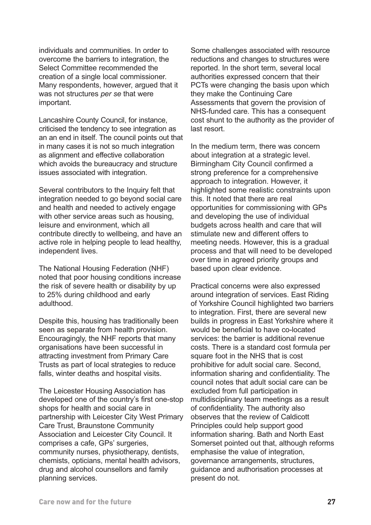individuals and communities. In order to overcome the barriers to integration, the Select Committee recommended the creation of a single local commissioner. Many respondents, however, argued that it was not structures *per se* that were important.

Lancashire County Council, for instance, criticised the tendency to see integration as an an end in itself. The council points out that in many cases it is not so much integration as alignment and effective collaboration which avoids the bureaucracy and structure issues associated with integration.

Several contributors to the Inquiry felt that integration needed to go beyond social care and health and needed to actively engage with other service areas such as housing, leisure and environment, which all contribute directly to wellbeing, and have an active role in helping people to lead healthy, independent lives.

The National Housing Federation (NHF) noted that poor housing conditions increase the risk of severe health or disability by up to 25% during childhood and early adulthood.

Despite this, housing has traditionally been seen as separate from health provision. Encouragingly, the NHF reports that many organisations have been successful in attracting investment from Primary Care Trusts as part of local strategies to reduce falls, winter deaths and hospital visits.

The Leicester Housing Association has developed one of the country's first one-stop shops for health and social care in partnership with Leicester City West Primary Care Trust, Braunstone Community Association and Leicester City Council. It comprises a cafe, GPs' surgeries, community nurses, physiotherapy, dentists, chemists, opticians, mental health advisors, drug and alcohol counsellors and family planning services.

Some challenges associated with resource reductions and changes to structures were reported. In the short term, several local authorities expressed concern that their PCTs were changing the basis upon which they make the Continuing Care Assessments that govern the provision of NHS-funded care. This has a consequent cost shunt to the authority as the provider of last resort.

In the medium term, there was concern about integration at a strategic level. Birmingham City Council confirmed a strong preference for a comprehensive approach to integration. However, it highlighted some realistic constraints upon this. It noted that there are real opportunities for commissioning with GPs and developing the use of individual budgets across health and care that will stimulate new and different offers to meeting needs. However, this is a gradual process and that will need to be developed over time in agreed priority groups and based upon clear evidence.

Practical concerns were also expressed around integration of services. East Riding of Yorkshire Council highlighted two barriers to integration. First, there are several new builds in progress in East Yorkshire where it would be beneficial to have co-located services: the barrier is additional revenue costs. There is a standard cost formula per square foot in the NHS that is cost prohibitive for adult social care. Second, information sharing and confidentiality. The council notes that adult social care can be excluded from full participation in multidisciplinary team meetings as a result of confidentiality. The authority also observes that the review of Caldicott Principles could help support good information sharing. Bath and North East Somerset pointed out that, although reforms emphasise the value of integration, governance arrangements, structures, guidance and authorisation processes at present do not.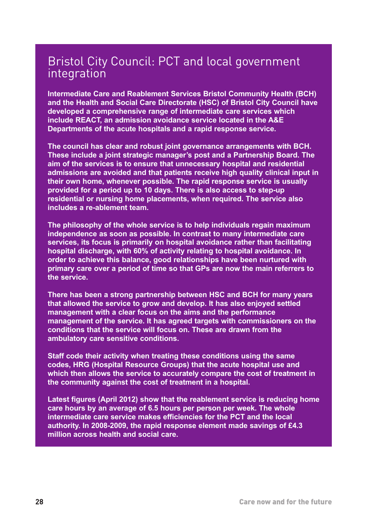#### Bristol City Council: PCT and local government integration

**Intermediate Care and Reablement Services Bristol Community Health (BCH) and the Health and Social Care Directorate (HSC) of Bristol City Council have developed a comprehensive range of intermediate care services which include REACT, an admission avoidance service located in the A&E Departments of the acute hospitals and a rapid response service.** 

**The council has clear and robust joint governance arrangements with BCH. These include a joint strategic manager's post and a Partnership Board. The aim of the services is to ensure that unnecessary hospital and residential admissions are avoided and that patients receive high quality clinical input in their own home, whenever possible. The rapid response service is usually provided for a period up to 10 days. There is also access to step-up residential or nursing home placements, when required. The service also includes a re-ablement team.** 

**The philosophy of the whole service is to help individuals regain maximum independence as soon as possible. In contrast to many intermediate care services, its focus is primarily on hospital avoidance rather than facilitating hospital discharge, with 60% of activity relating to hospital avoidance. In order to achieve this balance, good relationships have been nurtured with primary care over a period of time so that GPs are now the main referrers to the service.** 

**There has been a strong partnership between HSC and BCH for many years that allowed the service to grow and develop. It has also enjoyed settled management with a clear focus on the aims and the performance management of the service. It has agreed targets with commissioners on the conditions that the service will focus on. These are drawn from the ambulatory care sensitive conditions.** 

**Staff code their activity when treating these conditions using the same codes, HRG (Hospital Resource Groups) that the acute hospital use and which then allows the service to accurately compare the cost of treatment in the community against the cost of treatment in a hospital.** 

**Latest figures (April 2012) show that the reablement service is reducing home care hours by an average of 6.5 hours per person per week. The whole intermediate care service makes efficiencies for the PCT and the local authority. In 2008-2009, the rapid response element made savings of £4.3 million across health and social care.**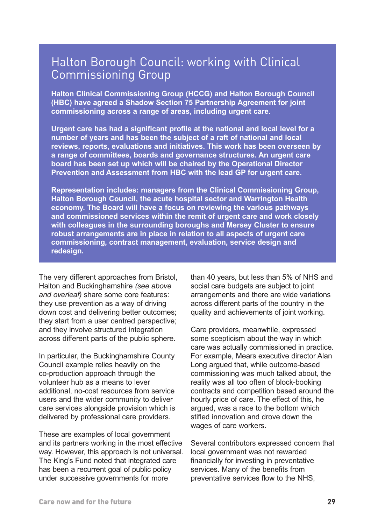#### Halton Borough Council: working with Clinical Commissioning Group

**Halton Clinical Commissioning Group (HCCG) and Halton Borough Council (HBC) have agreed a Shadow Section 75 Partnership Agreement for joint commissioning across a range of areas, including urgent care.** 

**Urgent care has had a significant profile at the national and local level for a number of years and has been the subject of a raft of national and local reviews, reports, evaluations and initiatives. This work has been overseen by a range of committees, boards and governance structures. An urgent care board has been set up which will be chaired by the Operational Director Prevention and Assessment from HBC with the lead GP for urgent care.** 

**Representation includes: managers from the Clinical Commissioning Group, Halton Borough Council, the acute hospital sector and Warrington Health economy. The Board will have a focus on reviewing the various pathways and commissioned services within the remit of urgent care and work closely with colleagues in the surrounding boroughs and Mersey Cluster to ensure robust arrangements are in place in relation to all aspects of urgent care commissioning, contract management, evaluation, service design and redesign.**

The very different approaches from Bristol, Halton and Buckinghamshire *(see above and overleaf)* share some core features: they use prevention as a way of driving down cost and delivering better outcomes; they start from a user centred perspective; and they involve structured integration across different parts of the public sphere.

In particular, the Buckinghamshire County Council example relies heavily on the co-production approach through the volunteer hub as a means to lever additional, no-cost resources from service users and the wider community to deliver care services alongside provision which is delivered by professional care providers.

These are examples of local government and its partners working in the most effective way. However, this approach is not universal. The King's Fund noted that integrated care has been a recurrent goal of public policy under successive governments for more

than 40 years, but less than 5% of NHS and social care budgets are subject to joint arrangements and there are wide variations across different parts of the country in the quality and achievements of joint working.

Care providers, meanwhile, expressed some scepticism about the way in which care was actually commissioned in practice. For example, Mears executive director Alan Long argued that, while outcome-based commissioning was much talked about, the reality was all too often of block-booking contracts and competition based around the hourly price of care. The effect of this, he argued, was a race to the bottom which stifled innovation and drove down the wages of care workers.

Several contributors expressed concern that local government was not rewarded financially for investing in preventative services. Many of the benefits from preventative services flow to the NHS,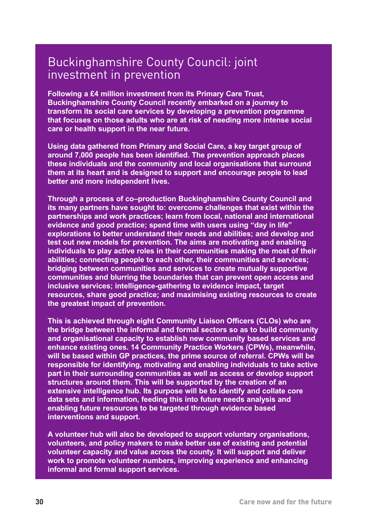#### Buckinghamshire County Council: joint investment in prevention

**Following a £4 million investment from its Primary Care Trust, Buckinghamshire County Council recently embarked on a journey to transform its social care services by developing a prevention programme that focuses on those adults who are at risk of needing more intense social care or health support in the near future.** 

**Using data gathered from Primary and Social Care, a key target group of around 7,000 people has been identified. The prevention approach places these individuals and the community and local organisations that surround them at its heart and is designed to support and encourage people to lead better and more independent lives.** 

**Through a process of co–production Buckinghamshire County Council and its many partners have sought to: overcome challenges that exist within the partnerships and work practices; learn from local, national and international evidence and good practice; spend time with users using "day in life" explorations to better understand their needs and abilities; and develop and test out new models for prevention. The aims are motivating and enabling individuals to play active roles in their communities making the most of their abilities; connecting people to each other, their communities and services; bridging between communities and services to create mutually supportive communities and blurring the boundaries that can prevent open access and inclusive services; intelligence-gathering to evidence impact, target resources, share good practice; and maximising existing resources to create the greatest impact of prevention.** 

**This is achieved through eight Community Liaison Officers (CLOs) who are the bridge between the informal and formal sectors so as to build community and organisational capacity to establish new community based services and enhance existing ones. 14 Community Practice Workers (CPWs), meanwhile, will be based within GP practices, the prime source of referral. CPWs will be responsible for identifying, motivating and enabling individuals to take active part in their surrounding communities as well as access or develop support structures around them. This will be supported by the creation of an extensive intelligence hub. Its purpose will be to identify and collate core data sets and information, feeding this into future needs analysis and enabling future resources to be targeted through evidence based interventions and support.** 

**A volunteer hub will also be developed to support voluntary organisations, volunteers, and policy makers to make better use of existing and potential volunteer capacity and value across the county. It will support and deliver work to promote volunteer numbers, improving experience and enhancing informal and formal support services.**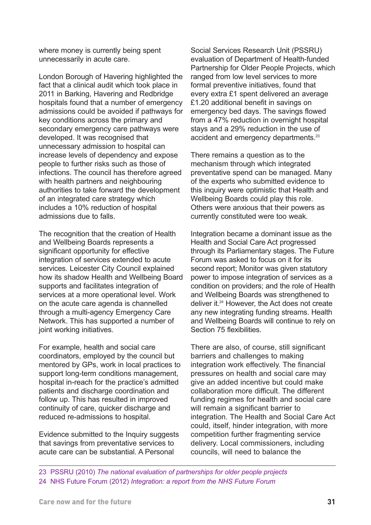where money is currently being spent unnecessarily in acute care.

London Borough of Havering highlighted the fact that a clinical audit which took place in 2011 in Barking, Havering and Redbridge hospitals found that a number of emergency admissions could be avoided if pathways for key conditions across the primary and secondary emergency care pathways were developed. It was recognised that unnecessary admission to hospital can increase levels of dependency and expose people to further risks such as those of infections. The council has therefore agreed with health partners and neighbouring authorities to take forward the development of an integrated care strategy which includes a 10% reduction of hospital admissions due to falls.

The recognition that the creation of Health and Wellbeing Boards represents a significant opportunity for effective integration of services extended to acute services. Leicester City Council explained how its shadow Health and Wellbeing Board supports and facilitates integration of services at a more operational level. Work on the acute care agenda is channelled through a multi-agency Emergency Care Network. This has supported a number of joint working initiatives.

For example, health and social care coordinators, employed by the council but mentored by GPs, work in local practices to support long-term conditions management, hospital in-reach for the practice's admitted patients and discharge coordination and follow up. This has resulted in improved continuity of care, quicker discharge and reduced re-admissions to hospital.

Evidence submitted to the Inquiry suggests that savings from preventative services to acute care can be substantial. A Personal

Social Services Research Unit (PSSRU) evaluation of Department of Health-funded Partnership for Older People Projects, which ranged from low level services to more formal preventive initiatives, found that every extra £1 spent delivered an average £1.20 additional benefit in savings on emergency bed days. The savings flowed from a 47% reduction in overnight hospital stays and a 29% reduction in the use of accident and emergency departments.<sup>23</sup>

There remains a question as to the mechanism through which integrated preventative spend can be managed. Many of the experts who submitted evidence to this inquiry were optimistic that Health and Wellbeing Boards could play this role. Others were anxious that their powers as currently constituted were too weak.

Integration became a dominant issue as the Health and Social Care Act progressed through its Parliamentary stages. The Future Forum was asked to focus on it for its second report; Monitor was given statutory power to impose integration of services as a condition on providers; and the role of Health and Wellbeing Boards was strengthened to deliver it.<sup>24</sup> However, the Act does not create any new integrating funding streams. Health and Wellbeing Boards will continue to rely on Section 75 flexibilities.

There are also, of course, still significant barriers and challenges to making integration work effectively. The financial pressures on health and social care may give an added incentive but could make collaboration more difficult. The different funding regimes for health and social care will remain a significant barrier to integration. The Health and Social Care Act could, itself, hinder integration, with more competition further fragmenting service delivery. Local commissioners, including councils, will need to balance the

23 PSSRU (2010) *The national evaluation of partnerships for older people projects* 24 NHS Future Forum (2012) *Integration: a report from the NHS Future Forum*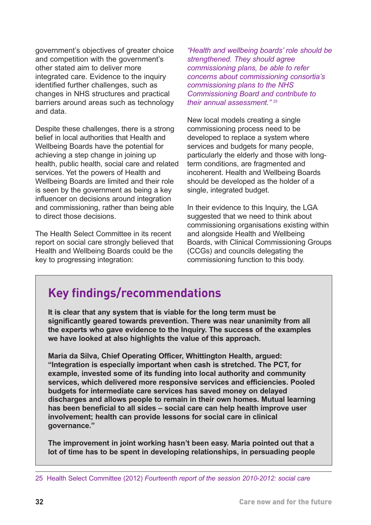government's objectives of greater choice and competition with the government's other stated aim to deliver more integrated care. Evidence to the inquiry identified further challenges, such as changes in NHS structures and practical barriers around areas such as technology and data.

Despite these challenges, there is a strong belief in local authorities that Health and Wellbeing Boards have the potential for achieving a step change in joining up health, public health, social care and related services. Yet the powers of Health and Wellbeing Boards are limited and their role is seen by the government as being a key influencer on decisions around integration and commissioning, rather than being able to direct those decisions.

The Health Select Committee in its recent report on social care strongly believed that Health and Wellbeing Boards could be the key to progressing integration:

*"Health and wellbeing boards' role should be strengthened. They should agree commissioning plans, be able to refer concerns about commissioning consortia's commissioning plans to the NHS Commissioning Board and contribute to their annual assessment."* <sup>25</sup>

New local models creating a single commissioning process need to be developed to replace a system where services and budgets for many people, particularly the elderly and those with longterm conditions, are fragmented and incoherent. Health and Wellbeing Boards should be developed as the holder of a single, integrated budget.

In their evidence to this Inquiry, the LGA suggested that we need to think about commissioning organisations existing within and alongside Health and Wellbeing Boards, with Clinical Commissioning Groups (CCGs) and councils delegating the commissioning function to this body.

#### **Key findings/recommendations**

**It is clear that any system that is viable for the long term must be significantly geared towards prevention. There was near unanimity from all the experts who gave evidence to the Inquiry. The success of the examples we have looked at also highlights the value of this approach.**

**Maria da Silva, Chief Operating Officer, Whittington Health, argued: "Integration is especially important when cash is stretched. The PCT, for example, invested some of its funding into local authority and community services, which delivered more responsive services and efficiencies. Pooled budgets for intermediate care services has saved money on delayed discharges and allows people to remain in their own homes. Mutual learning has been beneficial to all sides – social care can help health improve user involvement; health can provide lessons for social care in clinical governance."** 

**The improvement in joint working hasn't been easy. Maria pointed out that a lot of time has to be spent in developing relationships, in persuading people** 

<sup>25</sup> Health Select Committee (2012) *Fourteenth report of the session 2010-2012: social care*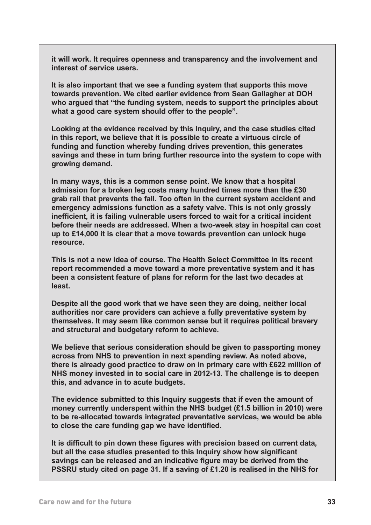**it will work. It requires openness and transparency and the involvement and interest of service users.**

**It is also important that we see a funding system that supports this move towards prevention. We cited earlier evidence from Sean Gallagher at DOH who argued that "the funding system, needs to support the principles about what a good care system should offer to the people".**

**Looking at the evidence received by this Inquiry, and the case studies cited in this report, we believe that it is possible to create a virtuous circle of funding and function whereby funding drives prevention, this generates savings and these in turn bring further resource into the system to cope with growing demand.**

**In many ways, this is a common sense point. We know that a hospital admission for a broken leg costs many hundred times more than the £30 grab rail that prevents the fall. Too often in the current system accident and emergency admissions function as a safety valve. This is not only grossly inefficient, it is failing vulnerable users forced to wait for a critical incident before their needs are addressed. When a two-week stay in hospital can cost up to £14,000 it is clear that a move towards prevention can unlock huge resource.**

**This is not a new idea of course. The Health Select Committee in its recent report recommended a move toward a more preventative system and it has been a consistent feature of plans for reform for the last two decades at least.**

**Despite all the good work that we have seen they are doing, neither local authorities nor care providers can achieve a fully preventative system by themselves. It may seem like common sense but it requires political bravery and structural and budgetary reform to achieve.**

**We believe that serious consideration should be given to passporting money across from NHS to prevention in next spending review. As noted above, there is already good practice to draw on in primary care with £622 million of NHS money invested in to social care in 2012-13. The challenge is to deepen this, and advance in to acute budgets.** 

**The evidence submitted to this Inquiry suggests that if even the amount of money currently underspent within the NHS budget (£1.5 billion in 2010) were to be re-allocated towards integrated preventative services, we would be able to close the care funding gap we have identified.**

**It is difficult to pin down these figures with precision based on current data, but all the case studies presented to this Inquiry show how significant savings can be released and an indicative figure may be derived from the PSSRU study cited on page 31. If a saving of £1.20 is realised in the NHS for**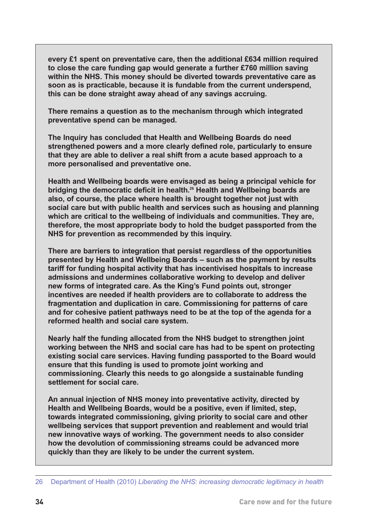**every £1 spent on preventative care, then the additional £634 million required to close the care funding gap would generate a further £760 million saving within the NHS. This money should be diverted towards preventative care as soon as is practicable, because it is fundable from the current underspend, this can be done straight away ahead of any savings accruing.**

**There remains a question as to the mechanism through which integrated preventative spend can be managed.**

**The Inquiry has concluded that Health and Wellbeing Boards do need strengthened powers and a more clearly defined role, particularly to ensure that they are able to deliver a real shift from a acute based approach to a more personalised and preventative one.**

**Health and Wellbeing boards were envisaged as being a principal vehicle for bridging the democratic deficit in health.26 Health and Wellbeing boards are also, of course, the place where health is brought together not just with social care but with public health and services such as housing and planning which are critical to the wellbeing of individuals and communities. They are, therefore, the most appropriate body to hold the budget passported from the NHS for prevention as recommended by this inquiry.**

**There are barriers to integration that persist regardless of the opportunities presented by Health and Wellbeing Boards – such as the payment by results tariff for funding hospital activity that has incentivised hospitals to increase admissions and undermines collaborative working to develop and deliver new forms of integrated care. As the King's Fund points out, stronger incentives are needed if health providers are to collaborate to address the fragmentation and duplication in care. Commissioning for patterns of care and for cohesive patient pathways need to be at the top of the agenda for a reformed health and social care system.**

**Nearly half the funding allocated from the NHS budget to strengthen joint working between the NHS and social care has had to be spent on protecting existing social care services. Having funding passported to the Board would ensure that this funding is used to promote joint working and commissioning. Clearly this needs to go alongside a sustainable funding settlement for social care.**

**An annual injection of NHS money into preventative activity, directed by Health and Wellbeing Boards, would be a positive, even if limited, step, towards integrated commissioning, giving priority to social care and other wellbeing services that support prevention and reablement and would trial new innovative ways of working. The government needs to also consider how the devolution of commissioning streams could be advanced more quickly than they are likely to be under the current system.**

<sup>26</sup> Department of Health (2010) *Liberating the NHS: increasing democratic legitimacy in health*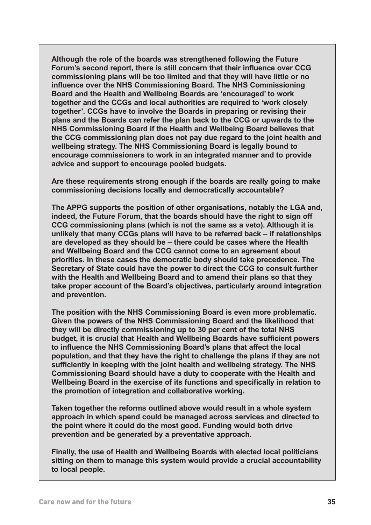**Although the role of the boards was strengthened following the Future Forum's second report, there is still concern that their influence over CCG commissioning plans will be too limited and that they will have little or no influence over the NHS Commissioning Board. The NHS Commissioning Board and the Health and Wellbeing Boards are 'encouraged' to work together and the CCGs and local authorities are required to 'work closely together'. CCGs have to involve the Boards in preparing or revising their plans and the Boards can refer the plan back to the CCG or upwards to the NHS Commissioning Board if the Health and Wellbeing Board believes that the CCG commissioning plan does not pay due regard to the joint health and wellbeing strategy. The NHS Commissioning Board is legally bound to encourage commissioners to work in an integrated manner and to provide advice and support to encourage pooled budgets.**

**Are these requirements strong enough if the boards are really going to make commissioning decisions locally and democratically accountable?**

**The APPG supports the position of other organisations, notably the LGA and, indeed, the Future Forum, that the boards should have the right to sign off CCG commissioning plans (which is not the same as a veto). Although it is unlikely that many CCGs plans will have to be referred back – if relationships are developed as they should be – there could be cases where the Health and Wellbeing Board and the CCG cannot come to an agreement about priorities. In these cases the democratic body should take precedence. The Secretary of State could have the power to direct the CCG to consult further with the Health and Wellbeing Board and to amend their plans so that they take proper account of the Board's objectives, particularly around integration and prevention.**

**The position with the NHS Commissioning Board is even more problematic. Given the powers of the NHS Commissioning Board and the likelihood that they will be directly commissioning up to 30 per cent of the total NHS budget, it is crucial that Health and Wellbeing Boards have sufficient powers to influence the NHS Commissioning Board's plans that affect the local population, and that they have the right to challenge the plans if they are not sufficiently in keeping with the joint health and wellbeing strategy. The NHS Commissioning Board should have a duty to cooperate with the Health and Wellbeing Board in the exercise of its functions and specifically in relation to the promotion of integration and collaborative working.**

**Taken together the reforms outlined above would result in a whole system approach in which spend could be managed across services and directed to the point where it could do the most good. Funding would both drive prevention and be generated by a preventative approach.**

**Finally, the use of Health and Wellbeing Boards with elected local politicians sitting on them to manage this system would provide a crucial accountability to local people.**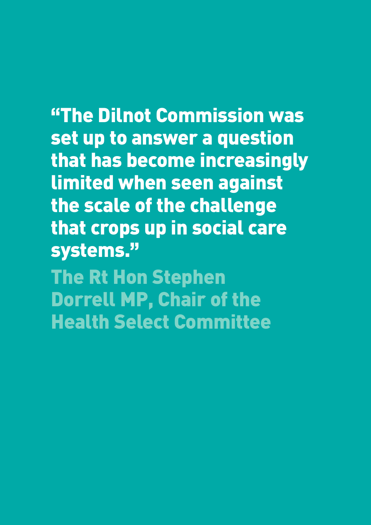# **"The Dilnot Commission was**

**set up to answer a question that has become increasingly limited when seen against the scale of the challenge that crops up in social care systems."**

**The Rt Hon Stephen Dorrell MP, Chair of the Health Select Committee**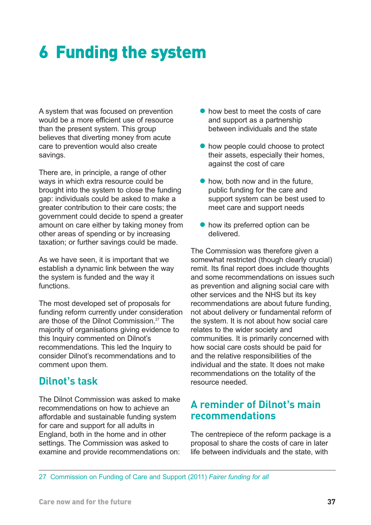# **6 Funding the system**

A system that was focused on prevention would be a more efficient use of resource than the present system. This group believes that diverting money from acute care to prevention would also create savings.

There are, in principle, a range of other ways in which extra resource could be brought into the system to close the funding gap: individuals could be asked to make a greater contribution to their care costs; the government could decide to spend a greater amount on care either by taking money from other areas of spending or by increasing taxation; or further savings could be made.

As we have seen, it is important that we establish a dynamic link between the way the system is funded and the way it functions.

The most developed set of proposals for funding reform currently under consideration are those of the Dilnot Commission.27 The majority of organisations giving evidence to this Inquiry commented on Dilnot's recommendations. This led the Inquiry to consider Dilnot's recommendations and to comment upon them.

#### **Dilnot's task**

The Dilnot Commission was asked to make recommendations on how to achieve an affordable and sustainable funding system for care and support for all adults in England, both in the home and in other settings. The Commission was asked to examine and provide recommendations on:

- <span id="page-40-0"></span> $\bullet$  how best to meet the costs of care and support as a partnership between individuals and the state
- $\bullet$  how people could choose to protect their assets, especially their homes, against the cost of care
- $\bullet$  how, both now and in the future. public funding for the care and support system can be best used to meet care and support needs
- $\bullet$  how its preferred option can be delivered.

The Commission was therefore given a somewhat restricted (though clearly crucial) remit. Its final report does include thoughts and some recommendations on issues such as prevention and aligning social care with other services and the NHS but its key recommendations are about future funding, not about delivery or fundamental reform of the system. It is not about how social care relates to the wider society and communities. It is primarily concerned with how social care costs should be paid for and the relative responsibilities of the individual and the state. It does not make recommendations on the totality of the resource needed.

#### **A reminder of Dilnot's main recommendations**

The centrepiece of the reform package is a proposal to share the costs of care in later life between individuals and the state, with

27 Commission on Funding of Care and Support (2011) *Fairer funding for all*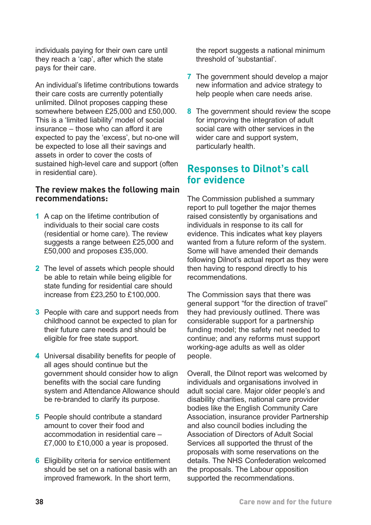individuals paying for their own care until they reach a 'cap', after which the state pays for their care.

An individual's lifetime contributions towards their care costs are currently potentially unlimited. Dilnot proposes capping these somewhere between £25,000 and £50,000. This is a 'limited liability' model of social insurance – those who can afford it are expected to pay the 'excess', but no-one will be expected to lose all their savings and assets in order to cover the costs of sustained high-level care and support (often in residential care).

#### **The review makes the following main recommendations:**

- **1** A cap on the lifetime contribution of individuals to their social care costs (residential or home care). The review suggests a range between £25,000 and £50,000 and proposes £35,000.
- **2** The level of assets which people should be able to retain while being eligible for state funding for residential care should increase from £23,250 to £100,000.
- **3** People with care and support needs from childhood cannot be expected to plan for their future care needs and should be eligible for free state support.
- **4** Universal disability benefits for people of all ages should continue but the government should consider how to align benefits with the social care funding system and Attendance Allowance should be re-branded to clarify its purpose.
- **5** People should contribute a standard amount to cover their food and accommodation in residential care – £7,000 to £10,000 a year is proposed.
- **6** Eligibility criteria for service entitlement should be set on a national basis with an improved framework. In the short term,

the report suggests a national minimum threshold of 'substantial'.

- **7** The government should develop a major new information and advice strategy to help people when care needs arise.
- **8** The government should review the scope for improving the integration of adult social care with other services in the wider care and support system, particularly health.

#### **Responses to Dilnot's call for evidence**

The Commission published a summary report to pull together the major themes raised consistently by organisations and individuals in response to its call for evidence. This indicates what key players wanted from a future reform of the system. Some will have amended their demands following Dilnot's actual report as they were then having to respond directly to his recommendations.

The Commission says that there was general support "for the direction of travel" they had previously outlined. There was considerable support for a partnership funding model; the safety net needed to continue; and any reforms must support working-age adults as well as older people.

Overall, the Dilnot report was welcomed by individuals and organisations involved in adult social care. Major older people's and disability charities, national care provider bodies like the English Community Care Association, insurance provider Partnership and also council bodies including the Association of Directors of Adult Social Services all supported the thrust of the proposals with some reservations on the details. The NHS Confederation welcomed the proposals. The Labour opposition supported the recommendations.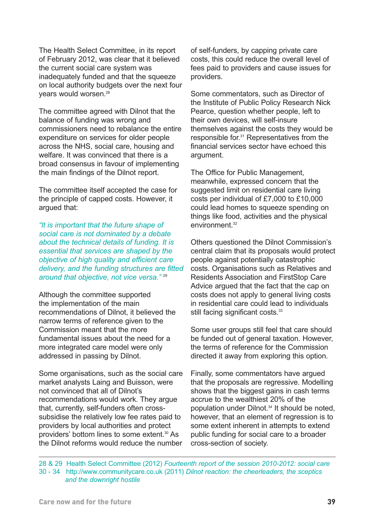The Health Select Committee, in its report of February 2012, was clear that it believed the current social care system was inadequately funded and that the squeeze on local authority budgets over the next four years would worsen.<sup>28</sup>

The committee agreed with Dilnot that the balance of funding was wrong and commissioners need to rebalance the entire expenditure on services for older people across the NHS, social care, housing and welfare. It was convinced that there is a broad consensus in favour of implementing the main findings of the Dilnot report.

The committee itself accepted the case for the principle of capped costs. However, it argued that:

*"It is important that the future shape of social care is not dominated by a debate about the technical details of funding. It is essential that services are shaped by the objective of high quality and efficient care delivery, and the funding structures are fitted around that objective, not vice versa."* <sup>29</sup>

Although the committee supported the implementation of the main recommendations of Dilnot, it believed the narrow terms of reference given to the Commission meant that the more fundamental issues about the need for a more integrated care model were only addressed in passing by Dilnot.

Some organisations, such as the social care market analysts Laing and Buisson, were not convinced that all of Dilnot's recommendations would work. They argue that, currently, self-funders often crosssubsidise the relatively low fee rates paid to providers by local authorities and protect providers' bottom lines to some extent.30 As the Dilnot reforms would reduce the number

of self-funders, by capping private care costs, this could reduce the overall level of fees paid to providers and cause issues for providers.

Some commentators, such as Director of the Institute of Public Policy Research Nick Pearce, question whether people, left to their own devices, will self-insure themselves against the costs they would be responsible for.31 Representatives from the financial services sector have echoed this argument.

The Office for Public Management, meanwhile, expressed concern that the suggested limit on residential care living costs per individual of £7,000 to £10,000 could lead homes to squeeze spending on things like food, activities and the physical environment.<sup>32</sup>

Others questioned the Dilnot Commission's central claim that its proposals would protect people against potentially catastrophic costs. Organisations such as Relatives and Residents Association and FirstStop Care Advice argued that the fact that the cap on costs does not apply to general living costs in residential care could lead to individuals still facing significant costs.<sup>33</sup>

Some user groups still feel that care should be funded out of general taxation. However, the terms of reference for the Commission directed it away from exploring this option.

Finally, some commentators have argued that the proposals are regressive. Modelling shows that the biggest gains in cash terms accrue to the wealthiest 20% of the population under Dilnot.<sup>34</sup> It should be noted, however, that an element of regression is to some extent inherent in attempts to extend public funding for social care to a broader cross-section of society.

28 & 29 Health Select Committee (2012) *Fourteenth report of the session 2010-2012: social care* 30 - 34 http://www.communitycare.co.uk (2011) *[Dilnot reaction: the cheerleaders, the sceptics](http://www.communitycare.co.uk/blogs/adult-care-blog/2011/07/dilnot-reaction-the-cheerleaders-the-sceptics-and-the-downright-hostile.html)  and the downright hostile*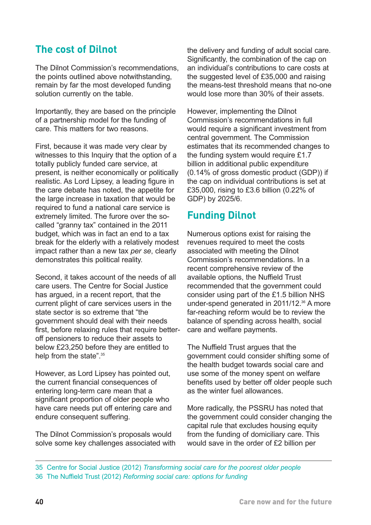#### **The cost of Dilnot**

The Dilnot Commission's recommendations, the points outlined above notwithstanding, remain by far the most developed funding solution currently on the table.

Importantly, they are based on the principle of a partnership model for the funding of care. This matters for two reasons.

First, because it was made very clear by witnesses to this Inquiry that the option of a totally publicly funded care service, at present, is neither economically or politically realistic. As Lord Lipsey, a leading figure in the care debate has noted, the appetite for the large increase in taxation that would be required to fund a national care service is extremely limited. The furore over the socalled "granny tax" contained in the 2011 budget, which was in fact an end to a tax break for the elderly with a relatively modest impact rather than a new tax *per se*, clearly demonstrates this political reality.

Second, it takes account of the needs of all care users. The Centre for Social Justice has argued, in a recent report, that the current plight of care services users in the state sector is so extreme that "the government should deal with their needs first, before relaxing rules that require betteroff pensioners to reduce their assets to below £23,250 before they are entitled to help from the state".<sup>35</sup>

However, as Lord Lipsey has pointed out, the current financial consequences of entering long-term care mean that a significant proportion of older people who have care needs put off entering care and endure consequent suffering.

The Dilnot Commission's proposals would solve some key challenges associated with the delivery and funding of adult social care. Significantly, the combination of the cap on an individual's contributions to care costs at the suggested level of £35,000 and raising the means-test threshold means that no-one would lose more than 30% of their assets.

However, implementing the Dilnot Commission's recommendations in full would require a significant investment from central government. The Commission estimates that its recommended changes to the funding system would require £1.7 billion in additional public expenditure (0.14% of gross domestic product (GDP)) if the cap on individual contributions is set at £35,000, rising to £3.6 billion (0.22% of GDP) by 2025/6.

#### **Funding Dilnot**

Numerous options exist for raising the revenues required to meet the costs associated with meeting the Dilnot Commission's recommendations. In a recent comprehensive review of the available options, the Nuffield Trust recommended that the government could consider using part of the £1.5 billion NHS under-spend generated in 2011/12.<sup>36</sup> A more far-reaching reform would be to review the balance of spending across health, social care and welfare payments.

The Nuffield Trust argues that the government could consider shifting some of the health budget towards social care and use some of the money spent on welfare benefits used by better off older people such as the winter fuel allowances.

More radically, the PSSRU has noted that the government could consider changing the capital rule that excludes housing equity from the funding of domiciliary care. This would save in the order of £2 billion per

<sup>35</sup> Centre for Social Justice (2012) *Transforming social care for the poorest older people* 36 The Nuffield Trust (2012) *Reforming social care: options for funding*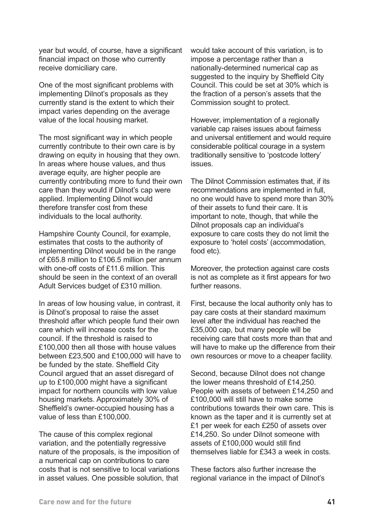year but would, of course, have a significant financial impact on those who currently receive domiciliary care.

One of the most significant problems with implementing Dilnot's proposals as they currently stand is the extent to which their impact varies depending on the average value of the local housing market.

The most significant way in which people currently contribute to their own care is by drawing on equity in housing that they own. In areas where house values, and thus average equity, are higher people are currently contributing more to fund their own care than they would if Dilnot's cap were applied. Implementing Dilnot would therefore transfer cost from these individuals to the local authority.

Hampshire County Council, for example, estimates that costs to the authority of implementing Dilnot would be in the range of £65.8 million to £106.5 million per annum with one-off costs of £11.6 million. This should be seen in the context of an overall Adult Services budget of £310 million.

In areas of low housing value, in contrast, it is Dilnot's proposal to raise the asset threshold after which people fund their own care which will increase costs for the council. If the threshold is raised to £100,000 then all those with house values between £23,500 and £100,000 will have to be funded by the state. Sheffield City Council argued that an asset disregard of up to £100,000 might have a significant impact for northern councils with low value housing markets. Approximately 30% of Sheffield's owner-occupied housing has a value of less than £100,000.

The cause of this complex regional variation, and the potentially regressive nature of the proposals, is the imposition of a numerical cap on contributions to care costs that is not sensitive to local variations in asset values. One possible solution, that

would take account of this variation, is to impose a percentage rather than a nationally-determined numerical cap as suggested to the inquiry by Sheffield City Council. This could be set at 30% which is the fraction of a person's assets that the Commission sought to protect.

However, implementation of a regionally variable cap raises issues about fairness and universal entitlement and would require considerable political courage in a system traditionally sensitive to 'postcode lottery' issues.

The Dilnot Commission estimates that, if its recommendations are implemented in full, no one would have to spend more than 30% of their assets to fund their care. It is important to note, though, that while the Dilnot proposals cap an individual's exposure to care costs they do not limit the exposure to 'hotel costs' (accommodation, food etc).

Moreover, the protection against care costs is not as complete as it first appears for two further reasons.

First, because the local authority only has to pay care costs at their standard maximum level after the individual has reached the £35,000 cap, but many people will be receiving care that costs more than that and will have to make up the difference from their own resources or move to a cheaper facility.

Second, because Dilnot does not change the lower means threshold of £14,250. People with assets of between £14,250 and £100,000 will still have to make some contributions towards their own care. This is known as the taper and it is currently set at £1 per week for each £250 of assets over £14,250. So under Dilnot someone with assets of £100,000 would still find themselves liable for £343 a week in costs.

These factors also further increase the regional variance in the impact of Dilnot's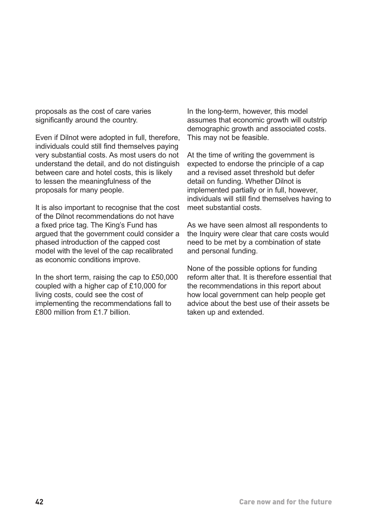proposals as the cost of care varies significantly around the country.

Even if Dilnot were adopted in full, therefore, individuals could still find themselves paying very substantial costs. As most users do not understand the detail, and do not distinguish between care and hotel costs, this is likely to lessen the meaningfulness of the proposals for many people.

It is also important to recognise that the cost of the Dilnot recommendations do not have a fixed price tag. The King's Fund has argued that the government could consider a phased introduction of the capped cost model with the level of the cap recalibrated as economic conditions improve.

In the short term, raising the cap to £50,000 coupled with a higher cap of £10,000 for living costs, could see the cost of implementing the recommendations fall to £800 million from £1.7 billion.

In the long-term, however, this model assumes that economic growth will outstrip demographic growth and associated costs. This may not be feasible.

At the time of writing the government is expected to endorse the principle of a cap and a revised asset threshold but defer detail on funding. Whether Dilnot is implemented partially or in full, however, individuals will still find themselves having to meet substantial costs.

As we have seen almost all respondents to the Inquiry were clear that care costs would need to be met by a combination of state and personal funding.

None of the possible options for funding reform alter that. It is therefore essential that the recommendations in this report about how local government can help people get advice about the best use of their assets be taken up and extended.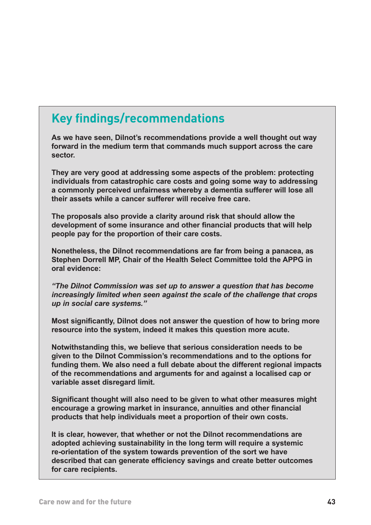#### **Key findings/recommendations**

**As we have seen, Dilnot's recommendations provide a well thought out way forward in the medium term that commands much support across the care sector.** 

**They are very good at addressing some aspects of the problem: protecting individuals from catastrophic care costs and going some way to addressing a commonly perceived unfairness whereby a dementia sufferer will lose all their assets while a cancer sufferer will receive free care.** 

**The proposals also provide a clarity around risk that should allow the development of some insurance and other financial products that will help people pay for the proportion of their care costs.**

**Nonetheless, the Dilnot recommendations are far from being a panacea, as Stephen Dorrell MP, Chair of the Health Select Committee told the APPG in oral evidence:**

*"The Dilnot Commission was set up to answer a question that has become increasingly limited when seen against the scale of the challenge that crops up in social care systems."*

**Most significantly, Dilnot does not answer the question of how to bring more resource into the system, indeed it makes this question more acute.** 

**Notwithstanding this, we believe that serious consideration needs to be given to the Dilnot Commission's recommendations and to the options for funding them. We also need a full debate about the different regional impacts of the recommendations and arguments for and against a localised cap or variable asset disregard limit.**

**Significant thought will also need to be given to what other measures might encourage a growing market in insurance, annuities and other financial products that help individuals meet a proportion of their own costs.**

**It is clear, however, that whether or not the Dilnot recommendations are adopted achieving sustainability in the long term will require a systemic re-orientation of the system towards prevention of the sort we have described that can generate efficiency savings and create better outcomes for care recipients.**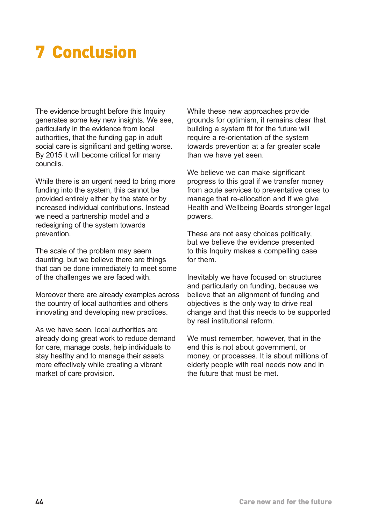# **7 Conclusion**

The evidence brought before this Inquiry generates some key new insights. We see, particularly in the evidence from local authorities, that the funding gap in adult social care is significant and getting worse. By 2015 it will become critical for many councils.

While there is an urgent need to bring more funding into the system, this cannot be provided entirely either by the state or by increased individual contributions. Instead we need a partnership model and a redesigning of the system towards prevention.

The scale of the problem may seem daunting, but we believe there are things that can be done immediately to meet some of the challenges we are faced with.

Moreover there are already examples across the country of local authorities and others innovating and developing new practices.

As we have seen, local authorities are already doing great work to reduce demand for care, manage costs, help individuals to stay healthy and to manage their assets more effectively while creating a vibrant market of care provision.

<span id="page-47-0"></span>While these new approaches provide grounds for optimism, it remains clear that building a system fit for the future will require a re-orientation of the system towards prevention at a far greater scale than we have yet seen.

We believe we can make significant progress to this goal if we transfer money from acute services to preventative ones to manage that re-allocation and if we give Health and Wellbeing Boards stronger legal powers.

These are not easy choices politically, but we believe the evidence presented to this Inquiry makes a compelling case for them.

Inevitably we have focused on structures and particularly on funding, because we believe that an alignment of funding and objectives is the only way to drive real change and that this needs to be supported by real institutional reform.

We must remember, however, that in the end this is not about government, or money, or processes. It is about millions of elderly people with real needs now and in the future that must be met.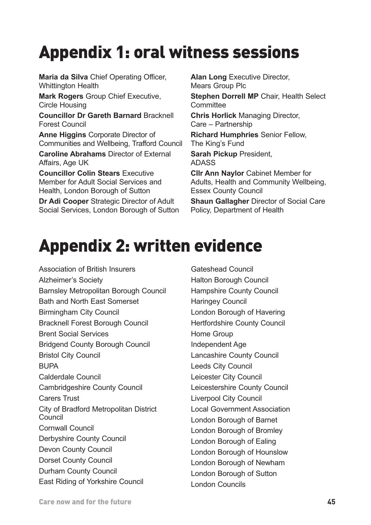# **Appendix 1: oral witness sessions**

**Maria da Silva** Chief Operating Officer, Whittington Health

**Mark Rogers** Group Chief Executive, Circle Housing

**Councillor Dr Gareth Barnard** Bracknell Forest Council

**Anne Higgins** Corporate Director of Communities and Wellbeing, Trafford Council

**Caroline Abrahams** Director of External Affairs, Age UK

**Councillor Colin Stears** Executive Member for Adult Social Services and Health, London Borough of Sutton

**Dr Adi Cooper** Strategic Director of Adult Social Services, London Borough of Sutton <span id="page-48-0"></span>**Alan Long Executive Director,** Mears Group Plc

**Stephen Dorrell MP** Chair, Health Select **Committee** 

**Chris Horlick** Managing Director, Care – Partnership

**Richard Humphries** Senior Fellow, The King's Fund **Sarah Pickup** President, ADASS

**Cllr Ann Naylor** Cabinet Member for Adults, Health and Community Wellbeing, Essex County Council

**Shaun Gallagher** Director of Social Care Policy, Department of Health

# **Appendix 2: written evidence**

Association of British Insurers Alzheimer's Society Barnsley Metropolitan Borough Council Bath and North East Somerset Birmingham City Council Bracknell Forest Borough Council Brent Social Services Bridgend County Borough Council Bristol City Council **BUPA** Calderdale Council Cambridgeshire County Council Carers Trust City of Bradford Metropolitan District Council Cornwall Council Derbyshire County Council Devon County Council Dorset County Council Durham County Council East Riding of Yorkshire Council

Gateshead Council Halton Borough Council Hampshire County Council Haringey Council London Borough of Havering Hertfordshire County Council Home Group Independent Age Lancashire County Council Leeds City Council Leicester City Council Leicestershire County Council Liverpool City Council Local Government Association London Borough of Barnet London Borough of Bromley London Borough of Ealing London Borough of Hounslow London Borough of Newham London Borough of Sutton London Councils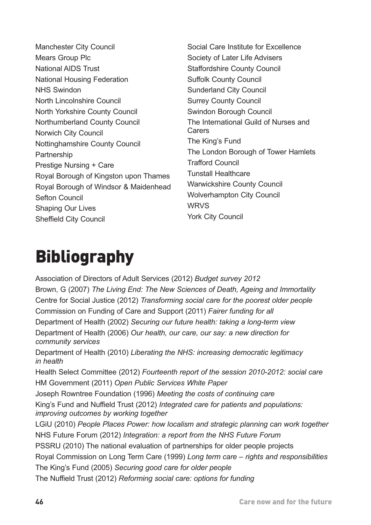Manchester City Council Mears Group Plc National AIDS Trust National Housing Federation NHS Swindon North Lincolnshire Council North Yorkshire County Council Northumberland County Council Norwich City Council Nottinghamshire County Council **Partnership** Prestige Nursing + Care Royal Borough of Kingston upon Thames Royal Borough of Windsor & Maidenhead Sefton Council Shaping Our Lives Sheffield City Council

<span id="page-49-0"></span>Social Care Institute for Excellence Society of Later Life Advisers Staffordshire County Council Suffolk County Council Sunderland City Council Surrey County Council Swindon Borough Council The International Guild of Nurses and **Carers** The King's Fund The London Borough of Tower Hamlets Trafford Council Tunstall Healthcare Warwickshire County Council Wolverhampton City Council WRVS York City Council

# **Bibliography**

Association of Directors of Adult Services (2012) *Budget survey 2012* Brown, G (2007) *The Living End: The New Sciences of Death, Ageing and Immortality* Centre for Social Justice (2012) *Transforming social care for the poorest older people* Commission on Funding of Care and Support (2011) *Fairer funding for all* Department of Health (2002) *Securing our future health: taking a long-term view* Department of Health (2006) *Our health, our care, our say: a new direction for community services* Department of Health (2010) *Liberating the NHS: increasing democratic legitimacy in health* Health Select Committee (2012) *Fourteenth report of the session 2010-2012: social care* HM Government (2011) *Open Public Services White Paper* Joseph Rowntree Foundation (1996) *Meeting the costs of continuing care* King's Fund and Nuffield Trust (2012) *Integrated care for patients and populations: improving outcomes by working together* LGiU (2010) *People Places Power: how localism and strategic planning can work together* NHS Future Forum (2012) *Integration: a report from the NHS Future Forum* PSSRU (2010) The national evaluation of partnerships for older people projects Royal Commission on Long Term Care (1999) *Long term care – rights and responsibilities* The King's Fund (2005) *Securing good care for older people* The Nuffield Trust (2012) *Reforming social care: options for funding*